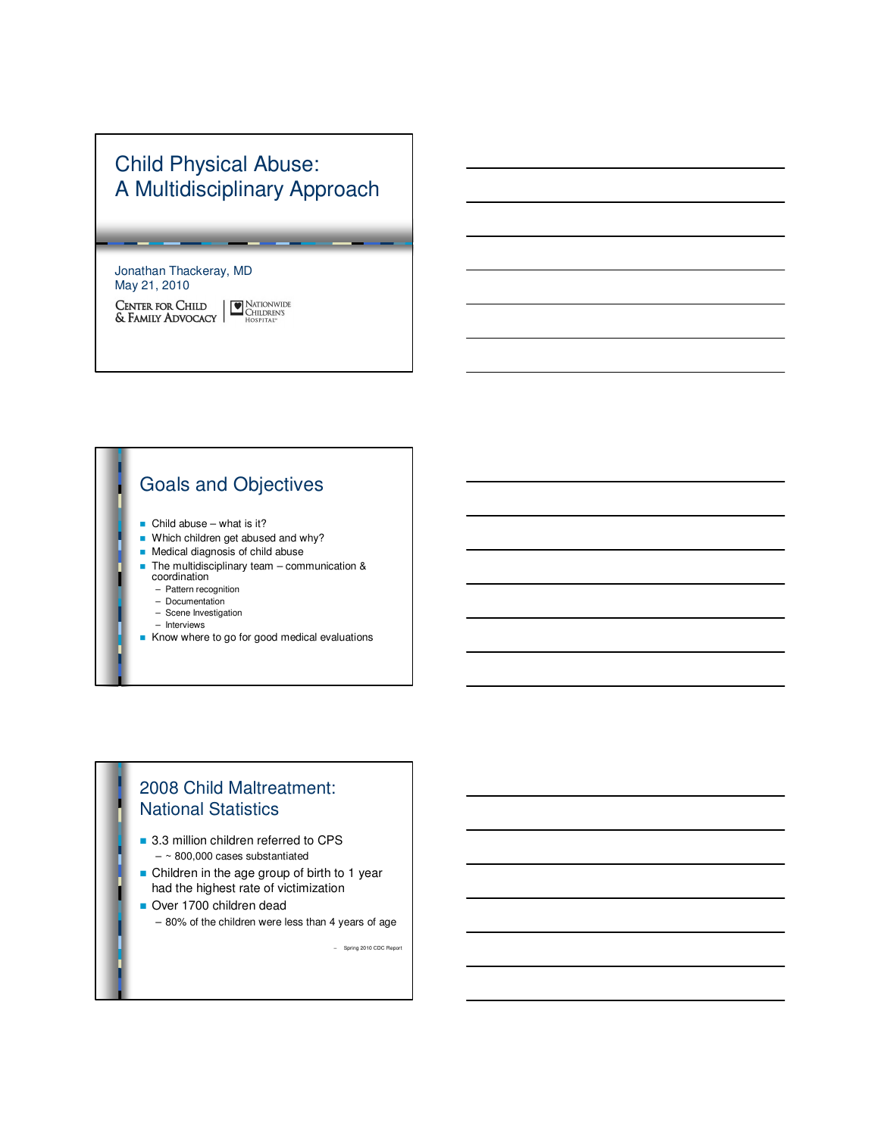# Child Physical Abuse: A Multidisciplinary Approach

#### Jonathan Thackeray, MD May 21, 2010

 $\begin{tabular}{|c|c|} \hline \textbf{NATIONWIDE} \\ \hline CHILDREN'S \\ HOSPITAL^{\ast} \end{tabular}$ CENTER FOR CHILD & FAMILY ADVOCACY

# Goals and Objectives

- $\blacksquare$  Child abuse what is it?
- $\blacksquare$  Which children get abused and why?
- **n** Medical diagnosis of child abuse
- $\blacksquare$  The multidisciplinary team communication & coordination
	- Pattern recognition
	- Documentation
	- Scene Investigation
	- Interviews
- Know where to go for good medical evaluations

#### 2008 Child Maltreatment: National Statistics

- 3.3 million children referred to CPS  $-$  ~ 800,000 cases substantiated
- Children in the age group of birth to 1 year had the highest rate of victimization
- Over 1700 children dead
	- 80% of the children were less than 4 years of age

– Spring 2010 CDC Report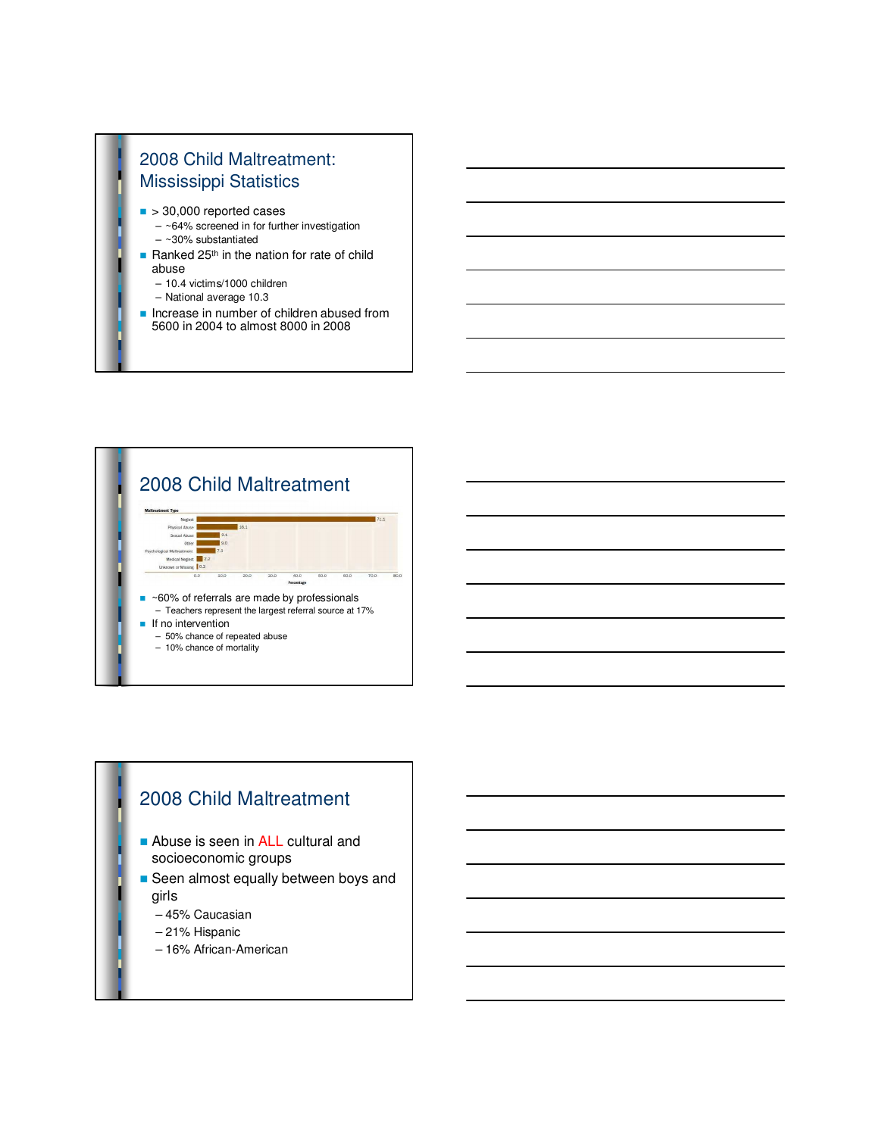# 2008 Child Maltreatment: Mississippi Statistics

- $\blacksquare$  > 30,000 reported cases
	- $-$  ~64% screened in for further investigation  $-$  ~30% substantiated
- Ranked  $25<sup>th</sup>$  in the nation for rate of child abuse
	- 10.4 victims/1000 children
	- National average 10.3
- **n** Increase in number of children abused from 5600 in 2004 to almost 8000 in 2008



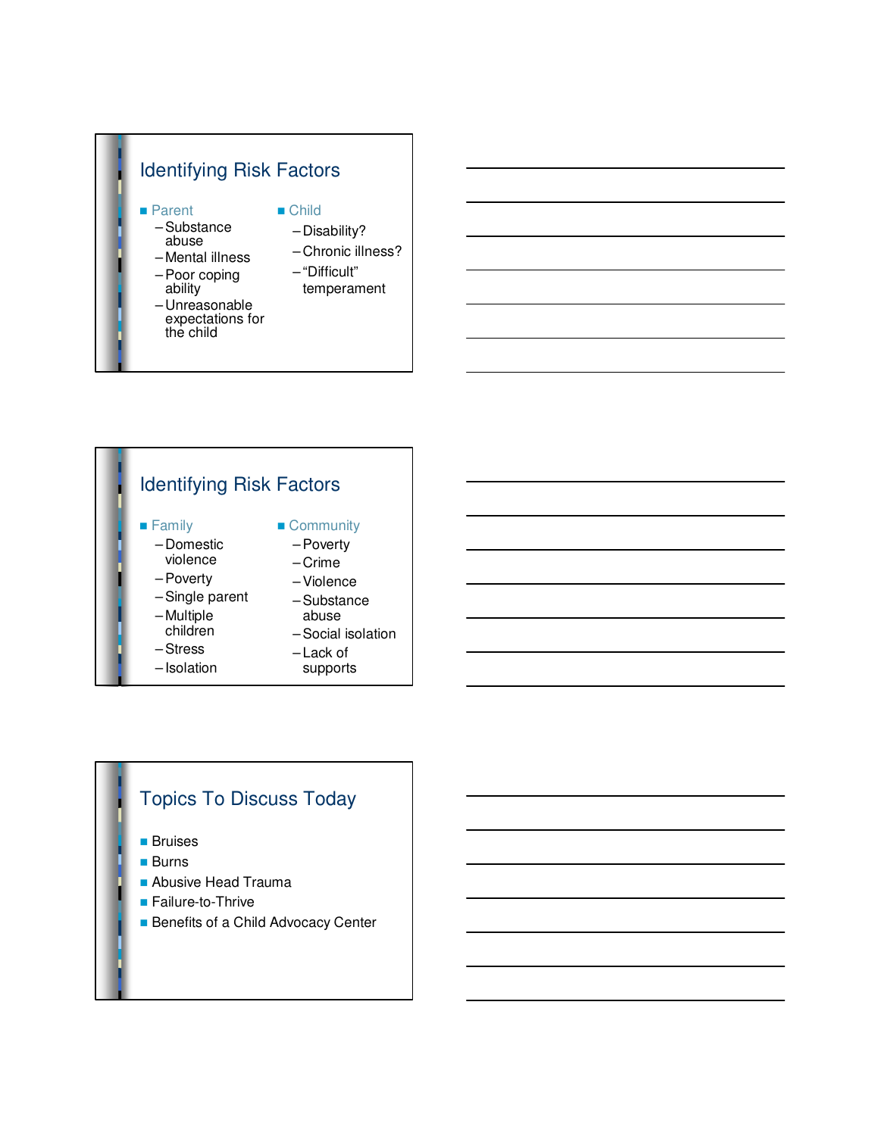#### Identifying Risk Factors ■ Parent – Substance  $\blacksquare$  Child – Disability?

- abuse
- Mental illness
- Poor coping ability
- Unreasonable expectations for the child
- Chronic illness?
- "Difficult"
	- temperament

#### Identifying Risk Factors **n** Family – Domestic violence – Poverty – Single parent – Multiple children – Stress – Isolation **n** Community – Poverty – Crime – Violence – Substance abuse – Social isolation – Lack of supports

## Topics To Discuss Today

- **n** Bruises
- **n** Burns
- **Abusive Head Trauma**
- Failure-to-Thrive
- **Benefits of a Child Advocacy Center**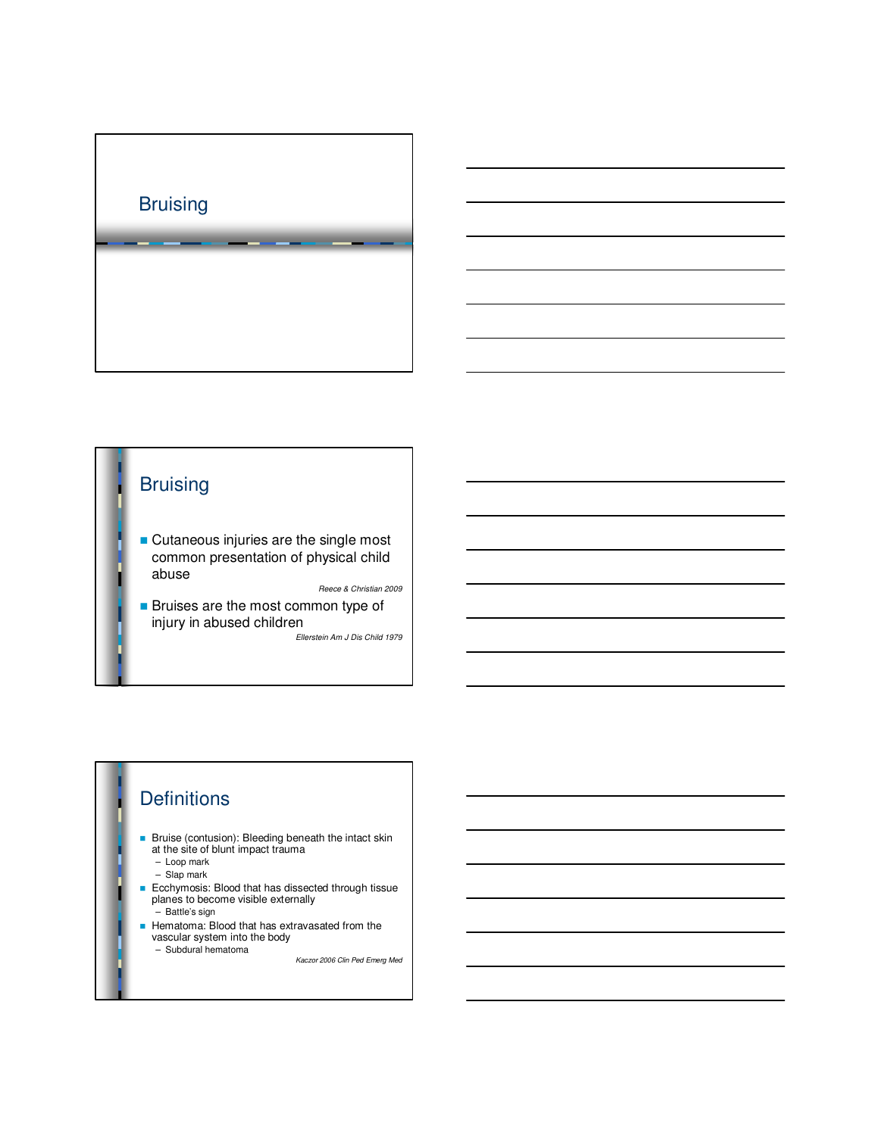

# **Bruising**

**n** Cutaneous injuries are the single most common presentation of physical child abuse

Reece & Christian 2009

**n** Bruises are the most common type of injury in abused children Ellerstein Am J Dis Child 1979

# **Definitions**

- n Bruise (contusion): Bleeding beneath the intact skin at the site of blunt impact trauma
	- Loop mark
	- Slap mark
- n Ecchymosis: Blood that has dissected through tissue planes to become visible externally
	- Battle's sign
- **Hematoma: Blood that has extravasated from the vascular system into the body** 
	- Subdural hematoma

Kaczor 2006 Clin Ped Emerg Med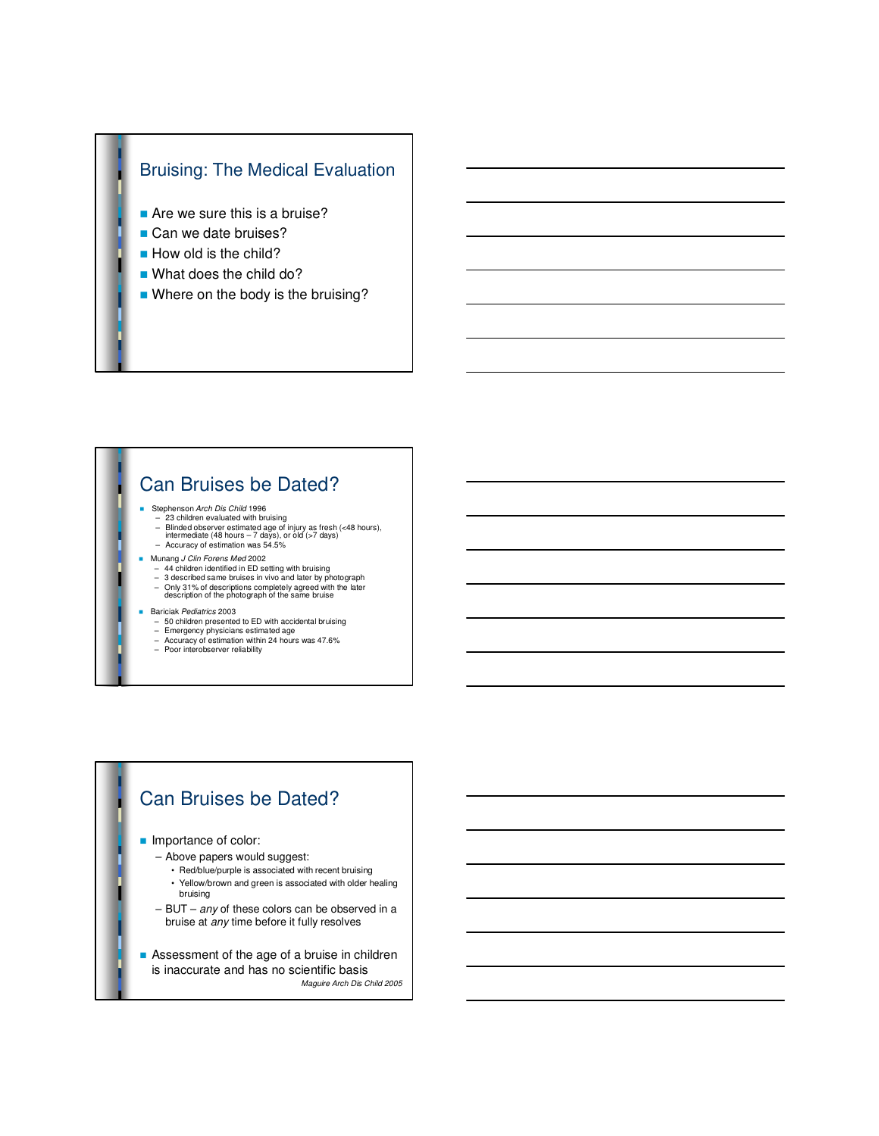

- $\blacksquare$  Are we sure this is a bruise?
- Can we date bruises?
- **How old is the child?**
- What does the child do?
- $\blacksquare$  Where on the body is the bruising?

## Can Bruises be Dated?

- Stephenson Arch Dis Child 1996
	- 23 children evaluated with bruising Blinded observer estimated age of injury as fresh (<48 hours), intermediate (48 hours 7 days), or old (>7 days) – Accuracy of estimation was 54.5%
- 
- Munang *J Clin Forens Med* 2002<br>- 44 children identified in ED setting with bruising
	- 3 described same bruises in vivo and later by photograph Only 31% of descriptions completely agreed with the later description of the photograph of the same bruise
- Bariciak Pediatrics 2003
	- 50 children presented to ED with accidental bruising
	-
	- Emergency physicians estimated age Accuracy of estimation within 24 hours was 47.6%

#### – Poor interobserver reliability

## Can Bruises be Dated?

#### **n** Importance of color:

- Above papers would suggest:
	- Red/blue/purple is associated with recent bruising
	- Yellow/brown and green is associated with older healing bruising
- $-$  BUT  $-$  any of these colors can be observed in a bruise at any time before it fully resolves

**n** Assessment of the age of a bruise in children is inaccurate and has no scientific basis Maguire Arch Dis Child 2005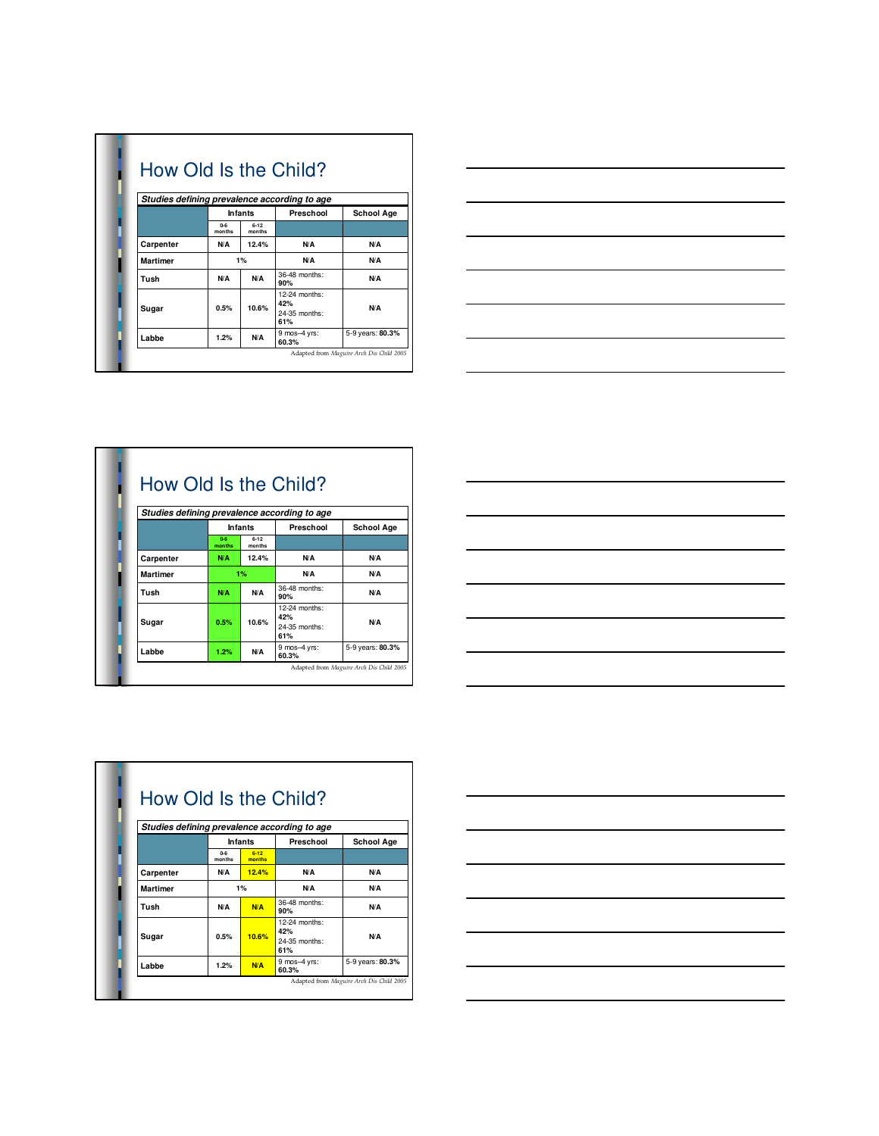|                 |                   |                    | How Old Is the Child?                        |                   |
|-----------------|-------------------|--------------------|----------------------------------------------|-------------------|
|                 |                   |                    | Studies defining prevalence according to age |                   |
|                 |                   | <b>Infants</b>     | Preschool                                    | <b>School Age</b> |
|                 | $0 - 6$<br>months | $6 - 12$<br>months |                                              |                   |
| Carpenter       | N/A               | 12.4%              | N/A                                          | N/A               |
| <b>Martimer</b> |                   | 1%                 | N/A                                          | N/A               |
| Tush            | N/A               | N/A                | 36-48 months:<br>90%                         | N/A               |
|                 |                   |                    | 12-24 months:<br>42%                         | N/A               |
| Sugar           | 0.5%              | 10.6%              | 24-35 months:<br>61%                         |                   |
| Labbe           | 1.2%              | N/A                | 9 mos-4 yrs:<br>60.3%                        | 5-9 years: 80.3%  |



|                 |                   |                    | How Old Is the Child?<br>Studies defining prevalence according to age |                   |
|-----------------|-------------------|--------------------|-----------------------------------------------------------------------|-------------------|
|                 |                   | <b>Infants</b>     | Preschool                                                             | <b>School Age</b> |
|                 | $0 - 6$<br>months | $6 - 12$<br>months |                                                                       |                   |
| Carpenter       | N/A               | 12.4%              | N/A                                                                   | N/A               |
| <b>Martimer</b> |                   | 1%                 | N/A                                                                   | N/A               |
| Tush            | N/A               | N/Δ                | 36-48 months:<br>90%                                                  | N/A               |
|                 |                   |                    | 12-24 months:<br>42%                                                  | N/A               |
| Sugar           | 0.5%              | 10.6%              | 24-35 months:<br>61%                                                  |                   |
| Labbe           | 1.2%              | N/A                | 9 mos-4 yrs:<br>60.3%                                                 | 5-9 years: 80.3%  |

 $\overline{\phantom{0}}$ 



|                 |                   |                    | Studies defining prevalence according to age |                   |
|-----------------|-------------------|--------------------|----------------------------------------------|-------------------|
|                 |                   | <b>Infants</b>     | Preschool                                    | <b>School Age</b> |
|                 | $0 - 6$<br>months | $6 - 12$<br>months |                                              |                   |
| Carpenter       | N/A               | 12.4%              | N/A                                          | N/A               |
| <b>Martimer</b> |                   | 1%                 | N/A                                          | N/A               |
| Tush            | N/A               | <b>N/A</b>         | 36-48 months:<br>90%                         | N/A               |
|                 |                   |                    | 12-24 months:<br>42%                         | N/A               |
| Sugar           | 0.5%              | 10.6%              | 24-35 months:<br>61%                         |                   |
| Labbe           | 1.2%              | <b>N/A</b>         | 9 mos-4 yrs:<br>60.3%                        | 5-9 years: 80.3%  |

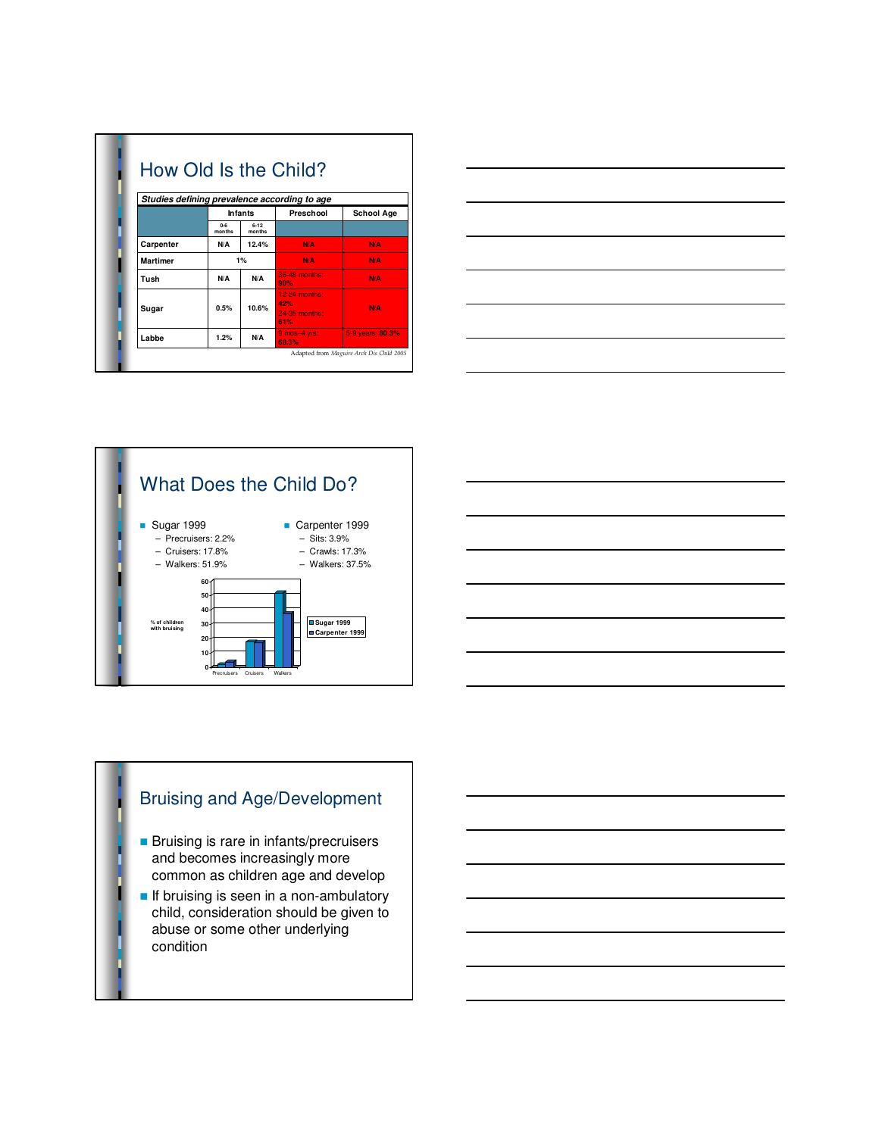|                 |                   |                    | How Old Is the Child?                        |                   |
|-----------------|-------------------|--------------------|----------------------------------------------|-------------------|
|                 |                   |                    | Studies defining prevalence according to age |                   |
|                 |                   | <b>Infants</b>     | Preschool                                    | <b>School Age</b> |
|                 | $0 - 6$<br>months | $6 - 12$<br>months |                                              |                   |
| Carpenter       | N/A               | 12.4%              | N/A                                          | <b>N/A</b>        |
| <b>Martimer</b> |                   | 1%                 | <b>N/A</b>                                   | N/A               |
| Tush            | N/A               | N/A                | 36-48 months:<br>90%                         | <b>N/A</b>        |
|                 |                   |                    | $12-24$ months:<br>42%                       |                   |
| Sugar           | 0.5%              | 10.6%              | 24-35 months:<br>61%                         | <b>N/A</b>        |
| Labbe           | 1.2%              | N/A                | $9$ mos-4 yrs:<br>60.3%                      | 5-9 years: 80.3%  |







# Bruising and Age/Development

- **n** Bruising is rare in infants/precruisers and becomes increasingly more common as children age and develop
- **n** If bruising is seen in a non-ambulatory child, consideration should be given to abuse or some other underlying condition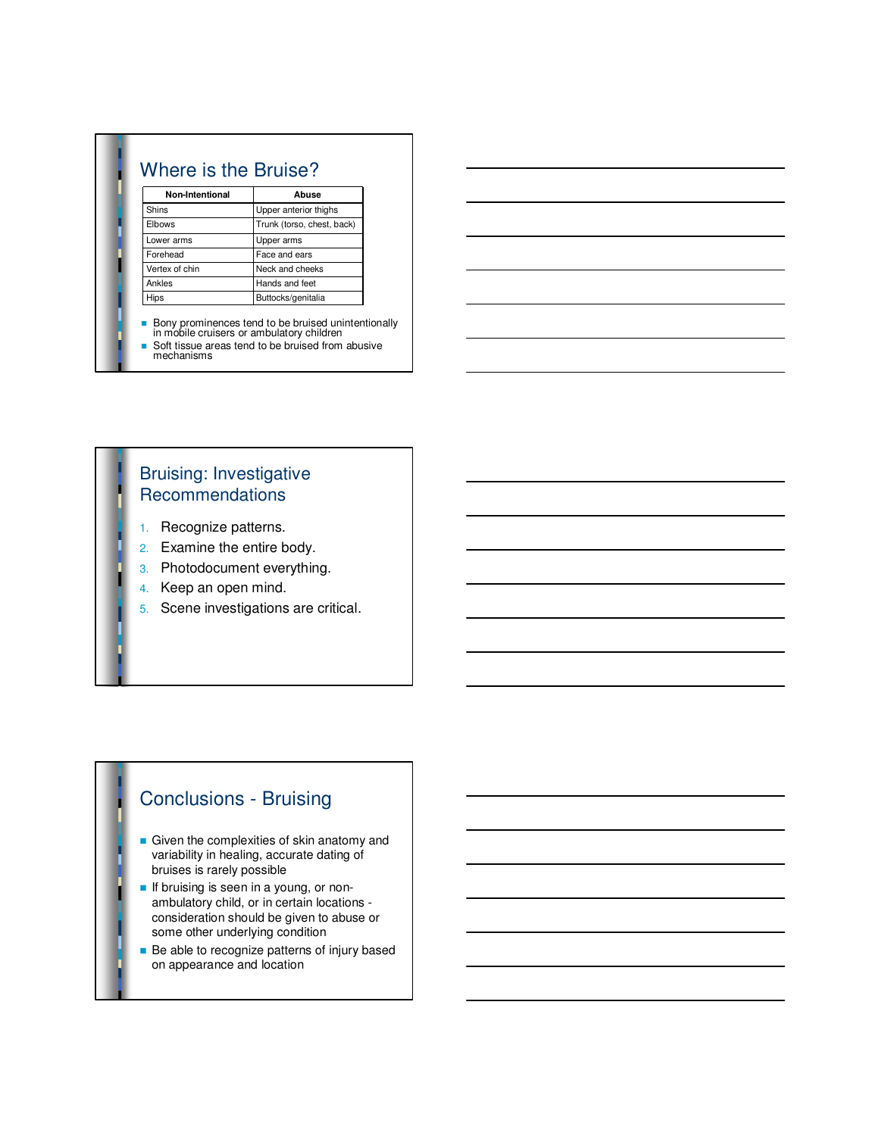| Non-Intentional | Abuse                      |
|-----------------|----------------------------|
| Shins           | Upper anterior thighs      |
| Elbows          | Trunk (torso, chest, back) |
| Lower arms      | Upper arms                 |
| Forehead        | Face and ears              |
| Vertex of chin  | Neck and cheeks            |
| Ankles          | Hands and feet             |
| Hips            | Buttocks/genitalia         |



#### Bruising: Investigative **Recommendations**

- 1. Recognize patterns.
- 2. Examine the entire body.
- 3. Photodocument everything.
- 4. Keep an open mind.
- 5. Scene investigations are critical.

#### Conclusions - Bruising

- $\blacksquare$  Given the complexities of skin anatomy and variability in healing, accurate dating of bruises is rarely possible
- **n** If bruising is seen in a young, or nonambulatory child, or in certain locations consideration should be given to abuse or some other underlying condition
- Be able to recognize patterns of injury based on appearance and location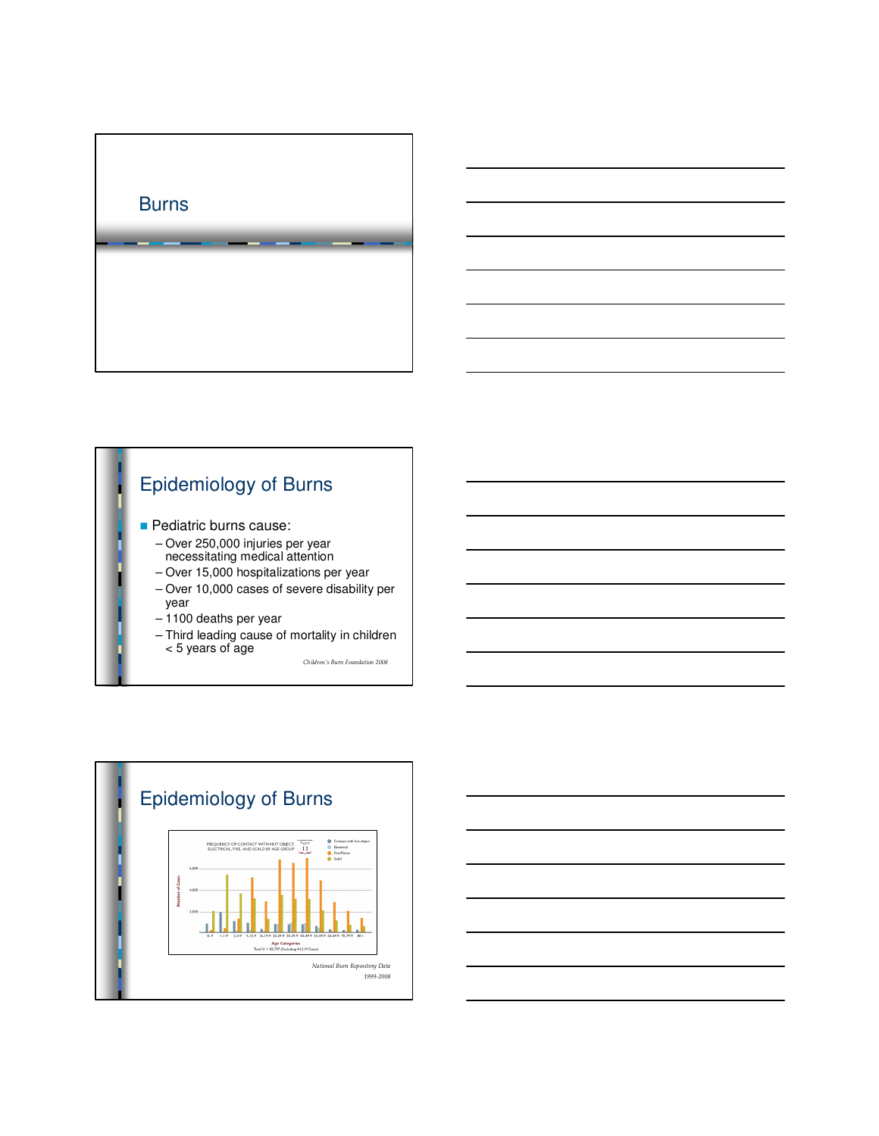



- **Pediatric burns cause:** 
	- Over 250,000 injuries per year necessitating medical attention
	- Over 15,000 hospitalizations per year
	- Over 10,000 cases of severe disability per year
	- 1100 deaths per year
	- Third leading cause of mortality in children < 5 years of age

*Children's Burn Foundation 2008*



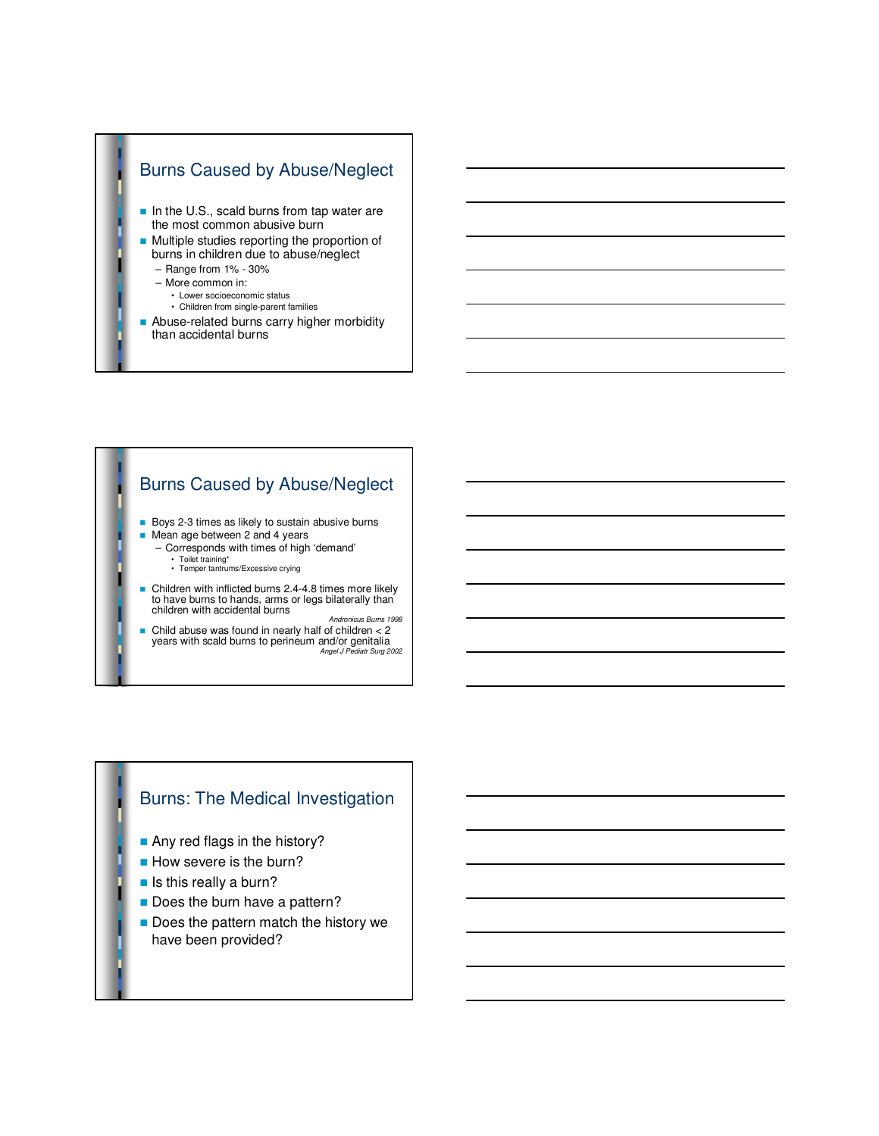

## Burns Caused by Abuse/Neglect

- Boys 2-3 times as likely to sustain abusive burns
- Mean age between 2 and 4 years
- Corresponds with times of high 'demand' • Toilet training\* • Temper tantrums/Excessive crying

- Children with inflicted burns 2.4-4.8 times more likely to have burns to hands, arms or legs bilaterally than children with accidental burns
- Andronicus Burns 1998 n Child abuse was found in nearly half of children < 2 years with scald burns to perineum and/or genitalia Angel J Pediatr Surg 2002

#### Burns: The Medical Investigation

- **n** Any red flags in the history?
- **How severe is the burn?**
- $\blacksquare$  Is this really a burn?
- Does the burn have a pattern?
- Does the pattern match the history we have been provided?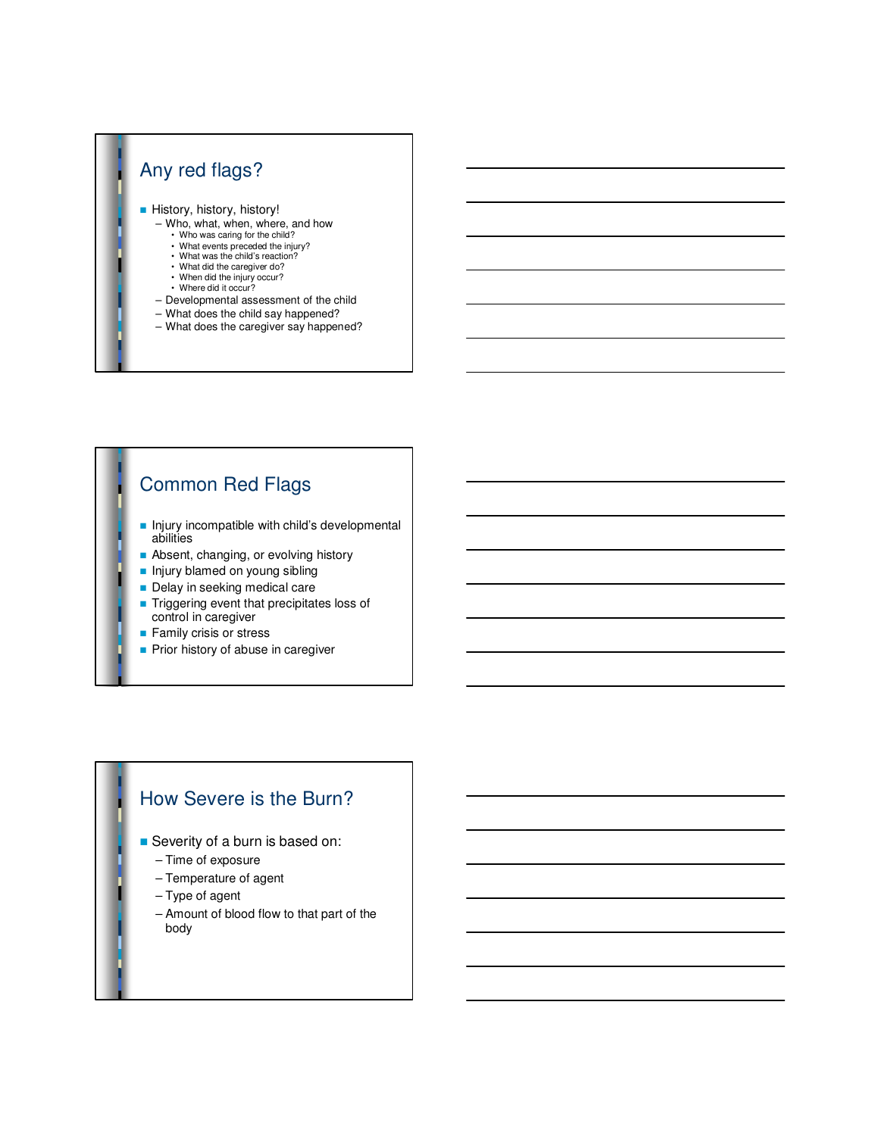#### Any red flags? **History, history, history!** – Who, what, when, where, and how • Who was caring for the child? • What events preceded the injury? • What was the child's reaction? • What did the caregiver do? • When did the injury occur?

- Where did it occur?
- Developmental assessment of the child
- What does the child say happened?
- What does the caregiver say happened?

# Common Red Flags

- n Injury incompatible with child's developmental abilities
- **n** Absent, changing, or evolving history
- **n** Injury blamed on young sibling
- Delay in seeking medical care
- $\blacksquare$  Triggering event that precipitates loss of control in caregiver
- **n** Family crisis or stress
- **n** Prior history of abuse in caregiver

#### How Severe is the Burn?

- **n** Severity of a burn is based on:
	- Time of exposure
	- Temperature of agent
	- Type of agent
	- Amount of blood flow to that part of the body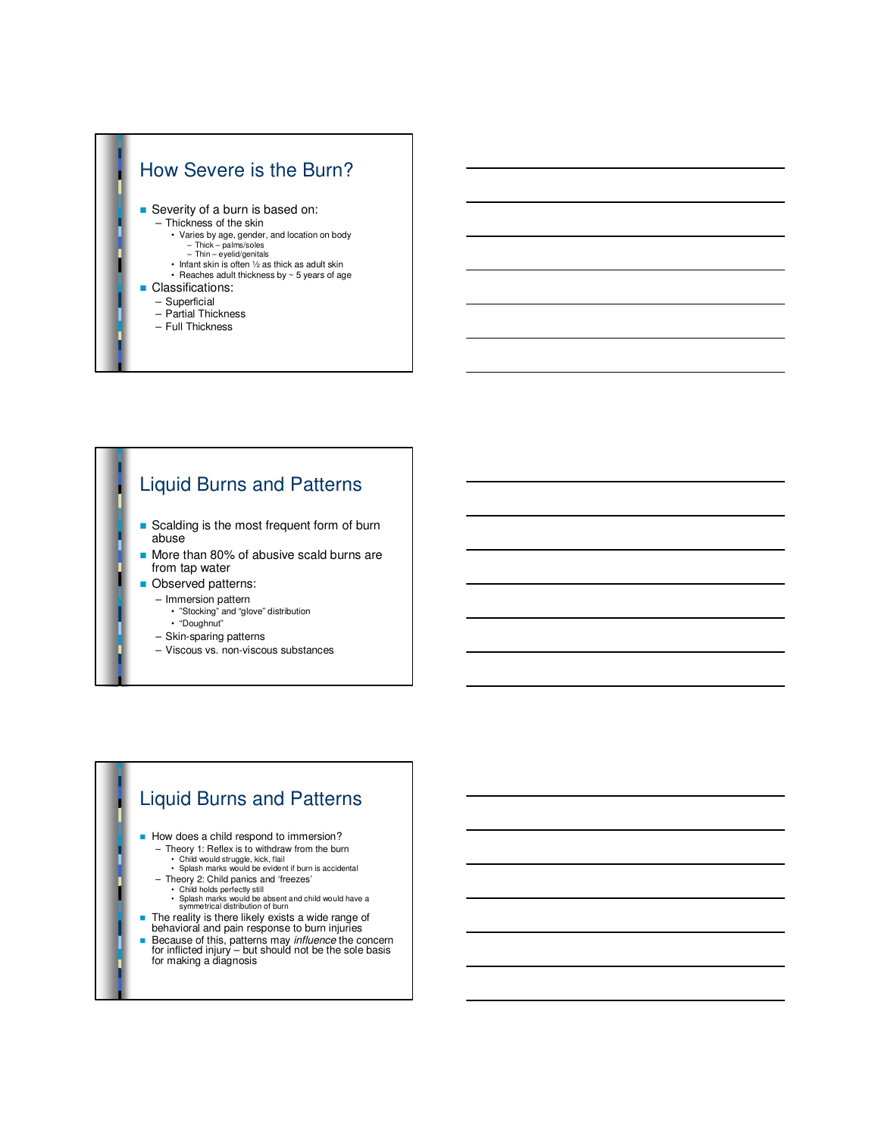

# Liquid Burns and Patterns

- **n** Scalding is the most frequent form of burn abuse
- More than 80% of abusive scald burns are from tap water
- **n** Observed patterns:
	- Immersion pattern
		- "Stocking" and "glove" distribution • "Doughnut"
	- Skin-sparing patterns
	- Viscous vs. non-viscous substances

# Liquid Burns and Patterns

- How does a child respond to immersion?
	- Theory 1: Reflex is to withdraw from the burn
	- Child would struggle, kick, flail Splash marks would be evident if burn is accidental
	- Theory 2: Child panics and 'freezes'
	-
	- Child holds perfectly still Splash marks would be absent and child would have a symmetrical distribution of burn
- n The reality is there likely exists a wide range of behavioral and pain response to burn injuries
- 
- **Because of this, patterns may** *influence* the concern for inflicted injury but should not be the sole basis for making a diagnosis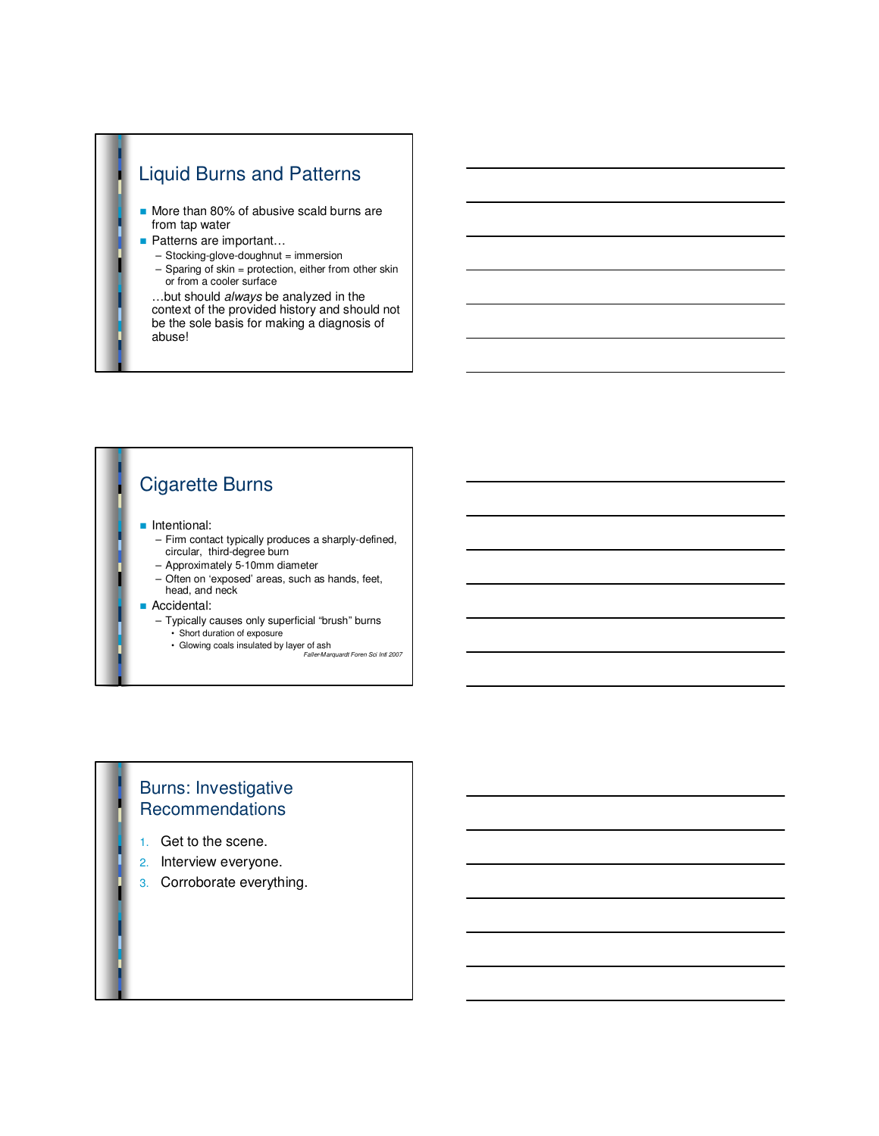# Liquid Burns and Patterns

- More than 80% of abusive scald burns are from tap water
- Patterns are important...
	- Stocking-glove-doughnut = immersion
	- Sparing of skin = protection, either from other skin or from a cooler surface
	- …but should always be analyzed in the context of the provided history and should not be the sole basis for making a diagnosis of abuse!

# Cigarette Burns

#### **n** Intentional:

- Firm contact typically produces a sharply-defined, circular, third-degree burn
- Approximately 5-10mm diameter
- Often on 'exposed' areas, such as hands, feet, head, and neck

#### **Accidental:**

- Typically causes only superficial "brush" burns
	- Short duration of exposure
	- Glowing coals insulated by layer of ash
		- Faller-Marquardt Foren Sci Intl 2007

#### Burns: Investigative Recommendations

- 1. Get to the scene.
- 2. Interview everyone.
- 3. Corroborate everything.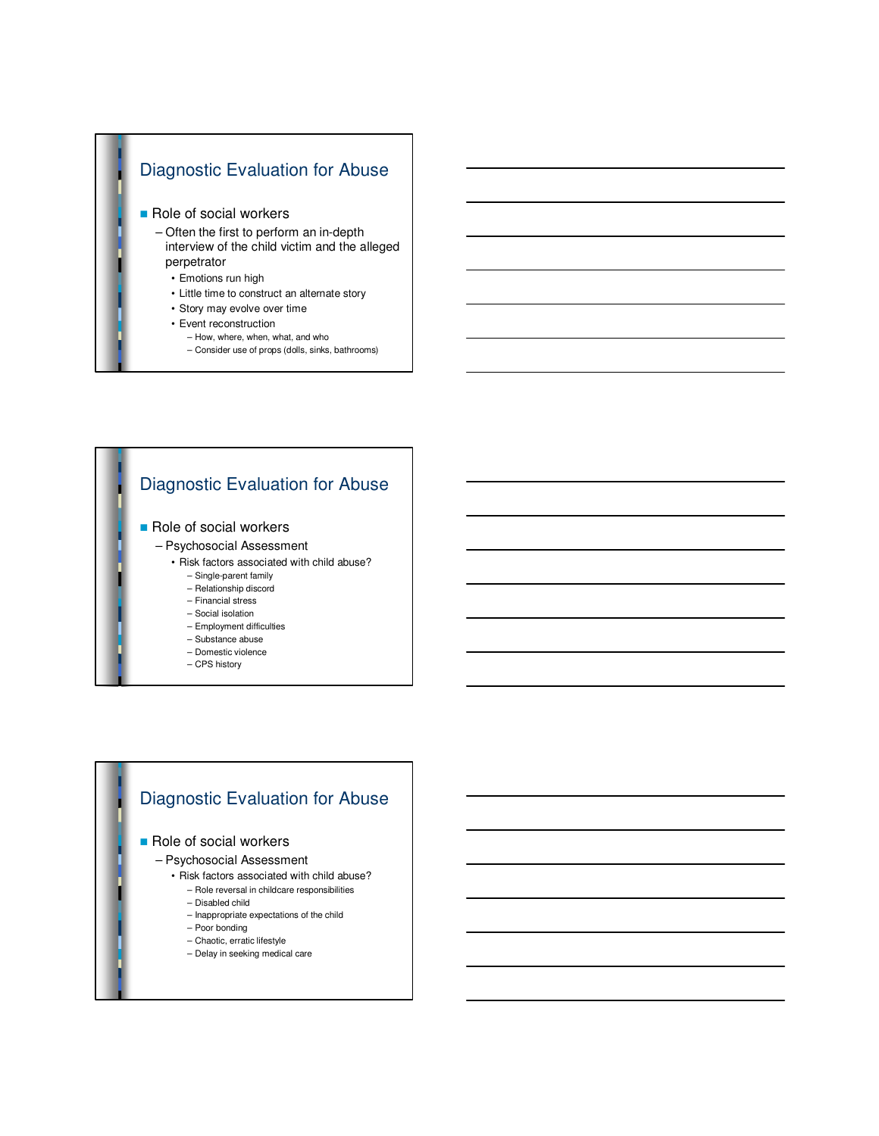# Diagnostic Evaluation for Abuse Role of social workers – Often the first to perform an in-depth

- interview of the child victim and the alleged perpetrator
	- Emotions run high
	- Little time to construct an alternate story
	- Story may evolve over time
	- Event reconstruction
		- How, where, when, what, and who
		- Consider use of props (dolls, sinks, bathrooms)

#### Diagnostic Evaluation for Abuse Role of social workers – Psychosocial Assessment • Risk factors associated with child abuse? – Single-parent family – Relationship discord – Financial stress – Social isolation – Employment difficulties – Substance abuse – Domestic violence – CPS history

#### Diagnostic Evaluation for Abuse

#### Role of social workers

- Psychosocial Assessment
	- Risk factors associated with child abuse?
		- Role reversal in childcare responsibilities
		- Disabled child
		- Inappropriate expectations of the child
		- Poor bonding
		- Chaotic, erratic lifestyle
		- Delay in seeking medical care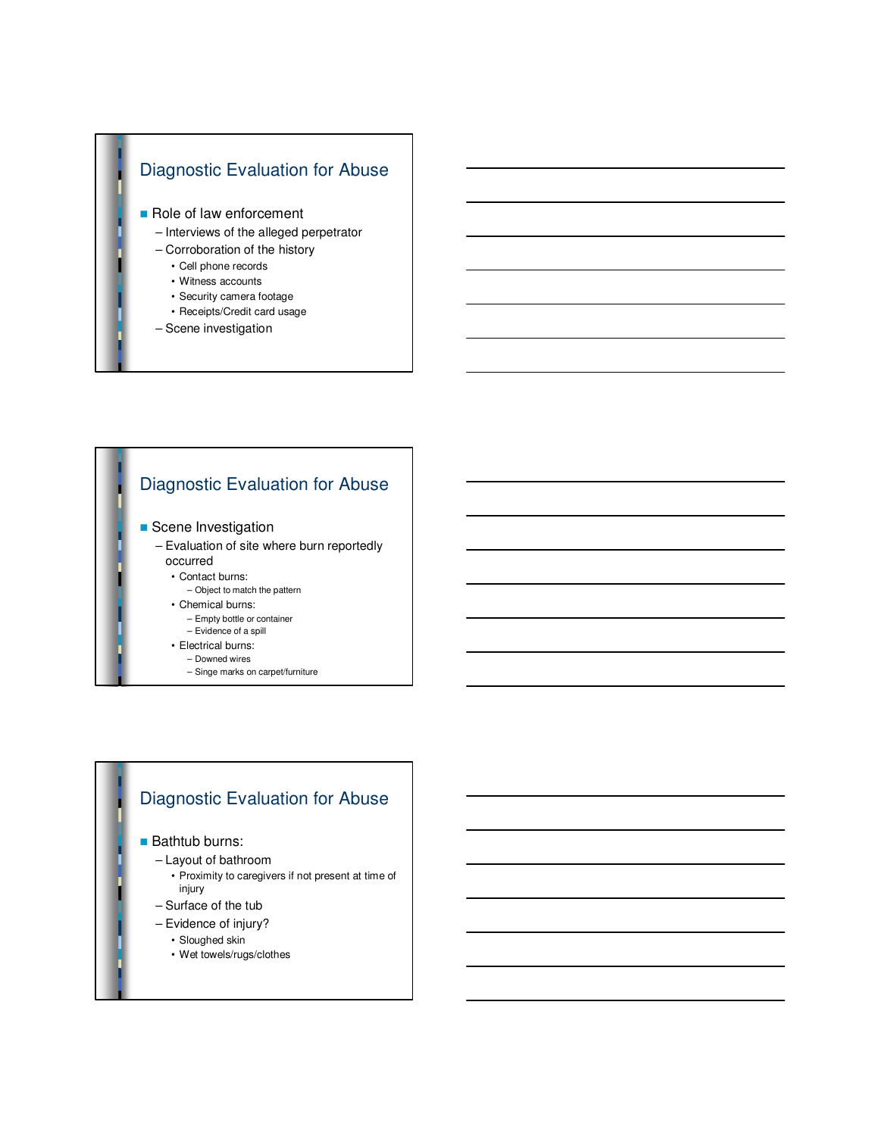

# Diagnostic Evaluation for Abuse

#### **B** Scene Investigation

– Evaluation of site where burn reportedly occurred

• Contact burns:

- Object to match the pattern
- Chemical burns:
	- Empty bottle or container
	- Evidence of a spill
- Electrical burns:
	- Downed wires
	- Singe marks on carpet/furniture

#### Diagnostic Evaluation for Abuse

**Bathtub burns:** 

- Layout of bathroom
	- Proximity to caregivers if not present at time of injury
- Surface of the tub
- Evidence of injury?

• Sloughed skin

• Wet towels/rugs/clothes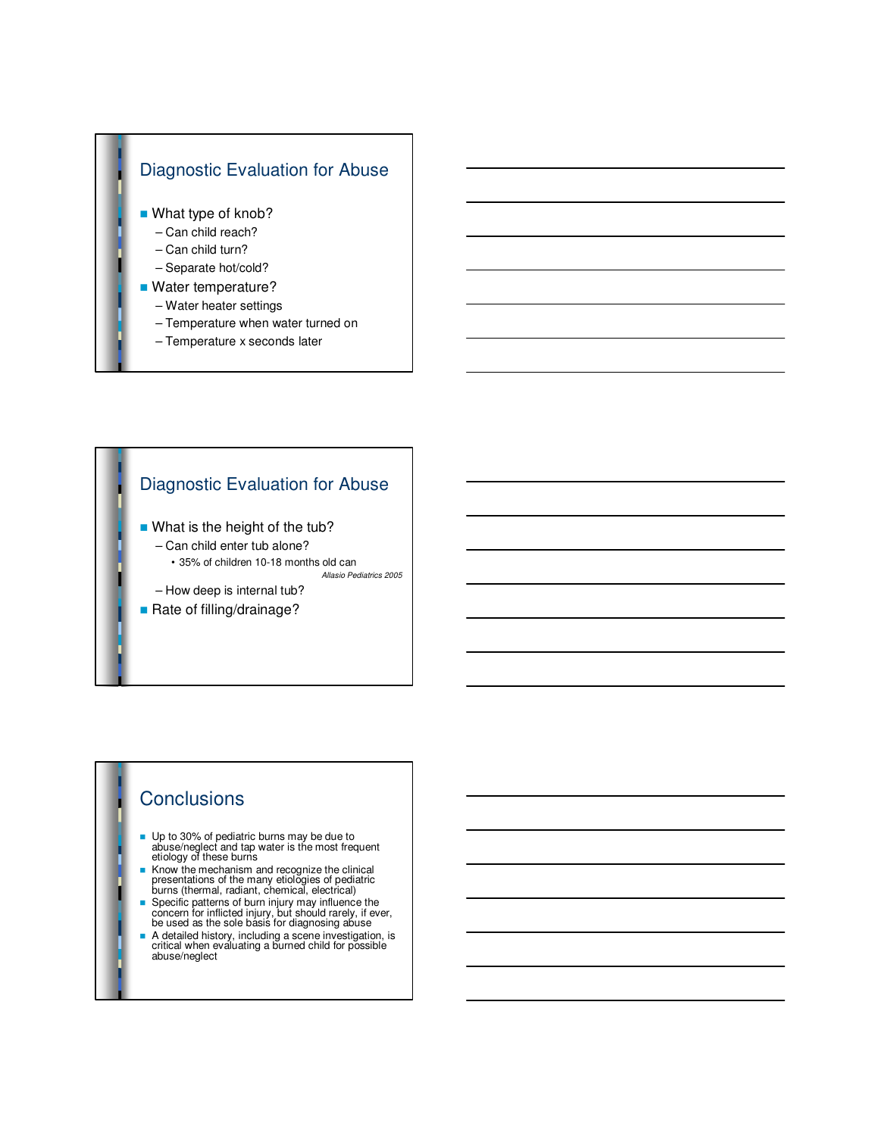

#### Diagnostic Evaluation for Abuse

- **No.** What is the height of the tub?
	- Can child enter tub alone? • 35% of children 10-18 months old can

Allasio Pediatrics 2005

- How deep is internal tub?
- Rate of filling/drainage?

#### **Conclusions**

- Up to 30% of pediatric burns may be due to abuse/neglect and tap water is the most frequent etiology of these burns
- $\blacksquare$  Know the mechanism and recognize the clinical presentations of the many etiologies of pediatric burns (thermal, radiant, chemical, electrical)
- n Specific patterns of burn injury may influence the concern for inflicted injury, but should rarely, if ever, be used as the sole basis for diagnosing abuse
- n A detailed history, including a scene investigation, is critical when evaluating a burned child for possible abuse/neglect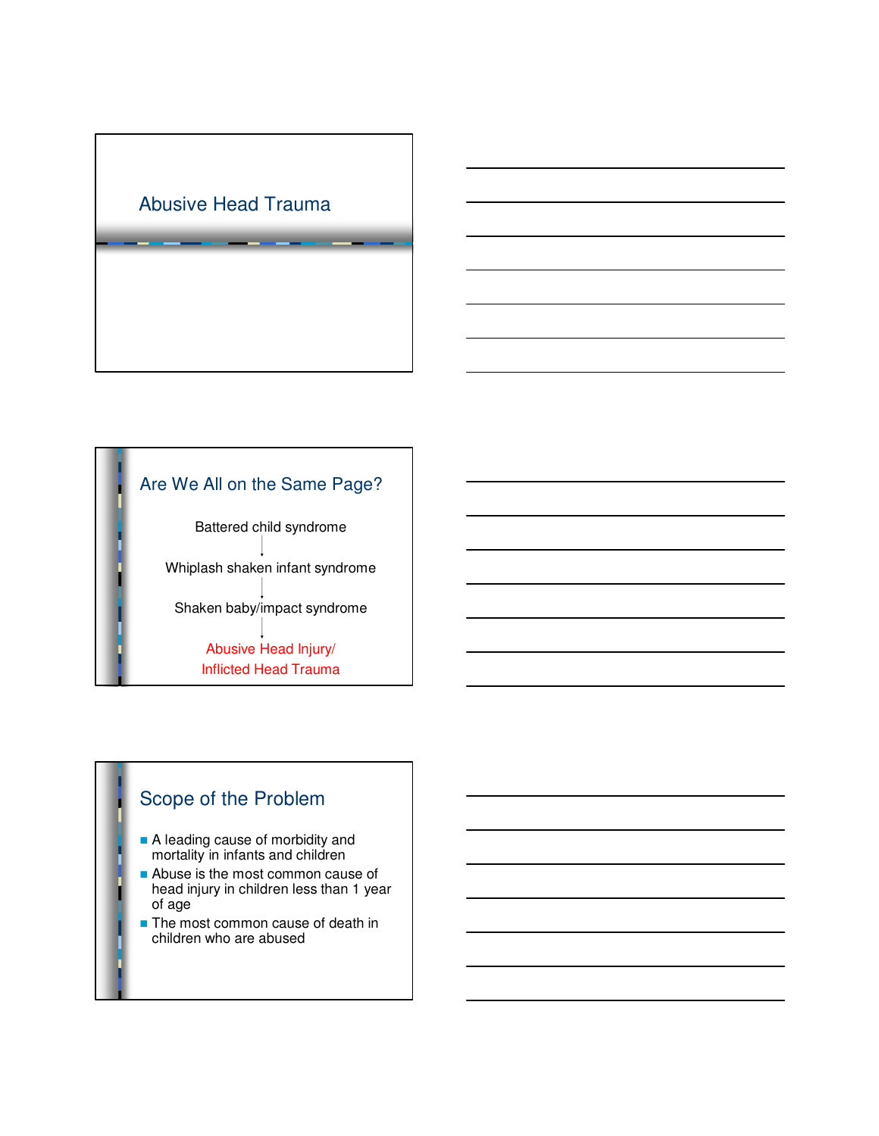

# Are We All on the Same Page?

Battered child syndrome Whiplash shaken infant syndrome Shaken baby/impact syndrome Abusive Head Injury/ Inflicted Head Trauma

## Scope of the Problem

- A leading cause of morbidity and mortality in infants and children
- Abuse is the most common cause of head injury in children less than 1 year of age
- $\blacksquare$  The most common cause of death in children who are abused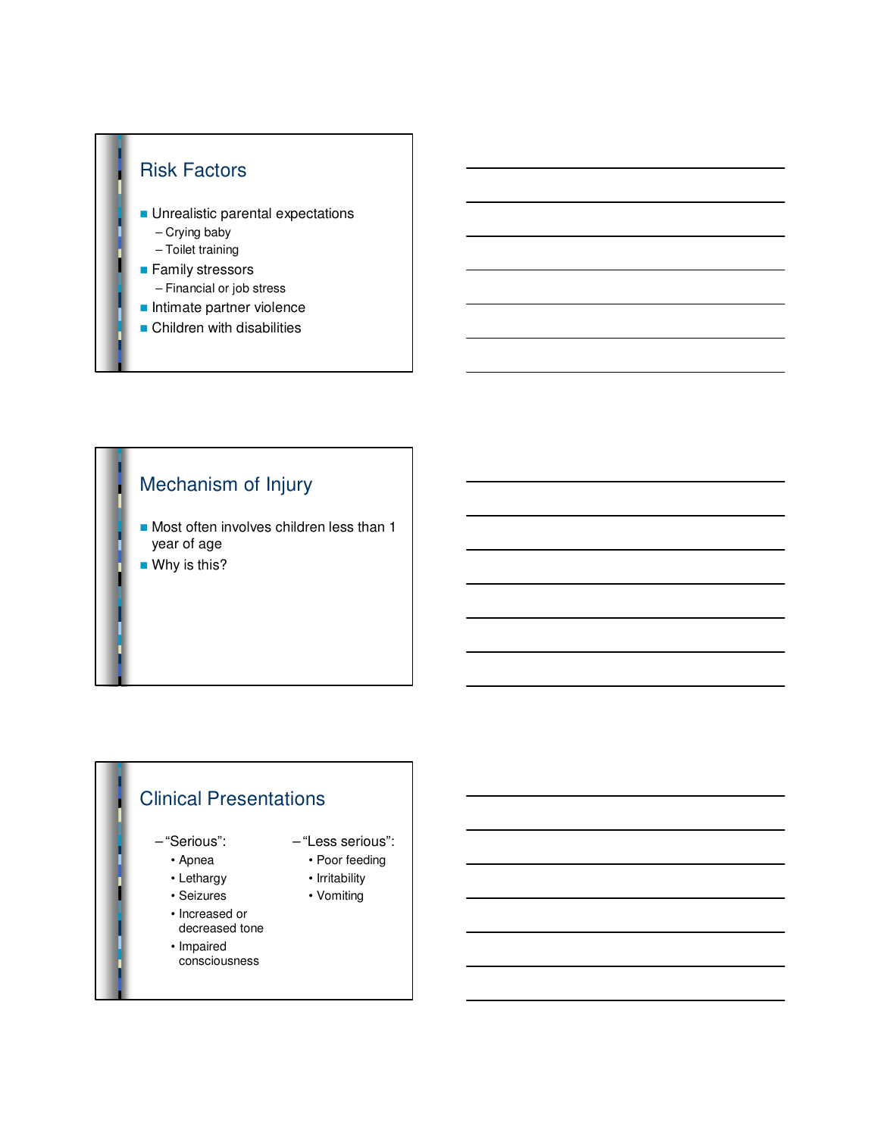

# Mechanism of Injury

 $\blacksquare$  Most often involves children less than 1 year of age

 $\blacksquare$  Why is this?

# Clinical Presentations

- "Serious":
	- Apnea
	- Lethargy
	- Seizures
	- Increased or decreased tone
	- Impaired
	- consciousness
- "Less serious":
	- Poor feeding
	- Irritability
	- Vomiting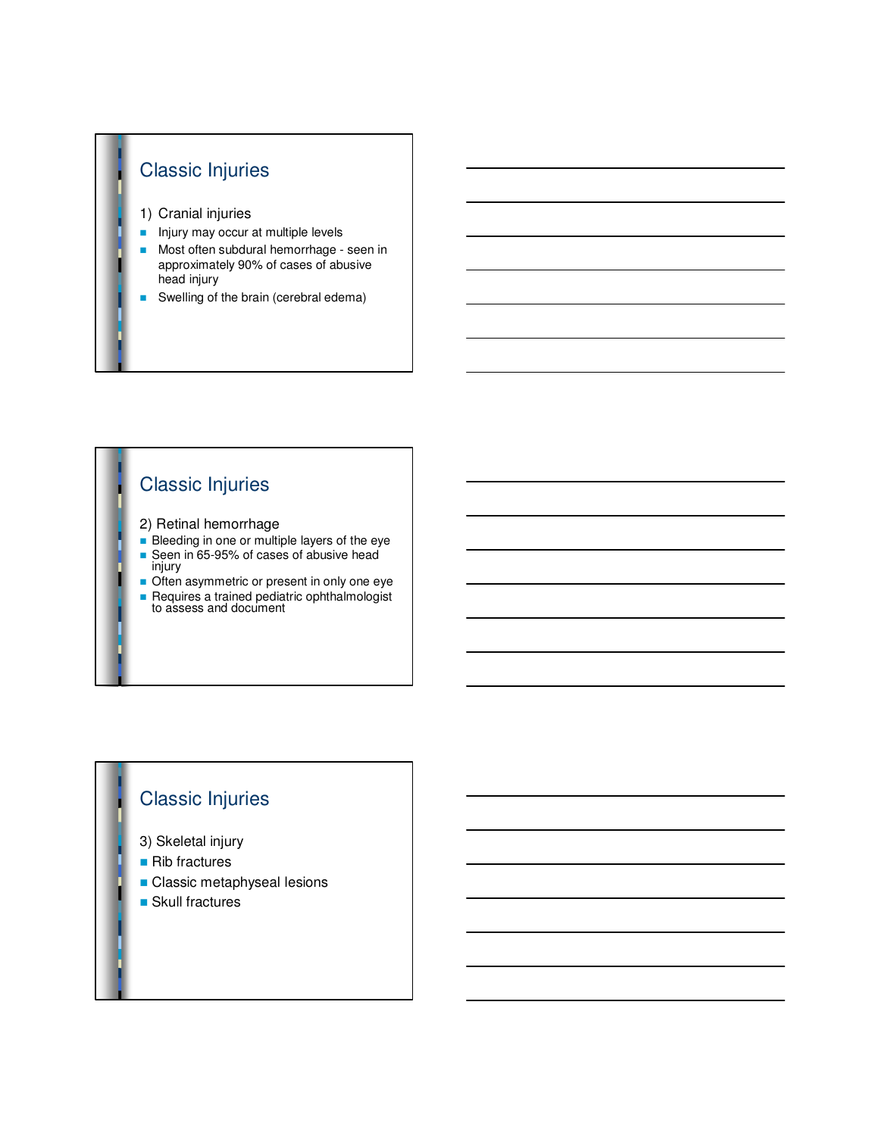# Classic Injuries

- 1) Cranial injuries
- n Injury may occur at multiple levels
- **n** Most often subdural hemorrhage seen in approximately 90% of cases of abusive head injury
- Swelling of the brain (cerebral edema)

# Classic Injuries

- 2) Retinal hemorrhage
- $\overline{\phantom{a}}$  Bleeding in one or multiple layers of the eye
- Seen in 65-95% of cases of abusive head injury
- Often asymmetric or present in only one eye **Requires a trained pediatric ophthalmologist**
- to assess and document

# Classic Injuries

- 3) Skeletal injury
- $\blacksquare$  Rib fractures
- **n** Classic metaphyseal lesions
- $\blacksquare$  Skull fractures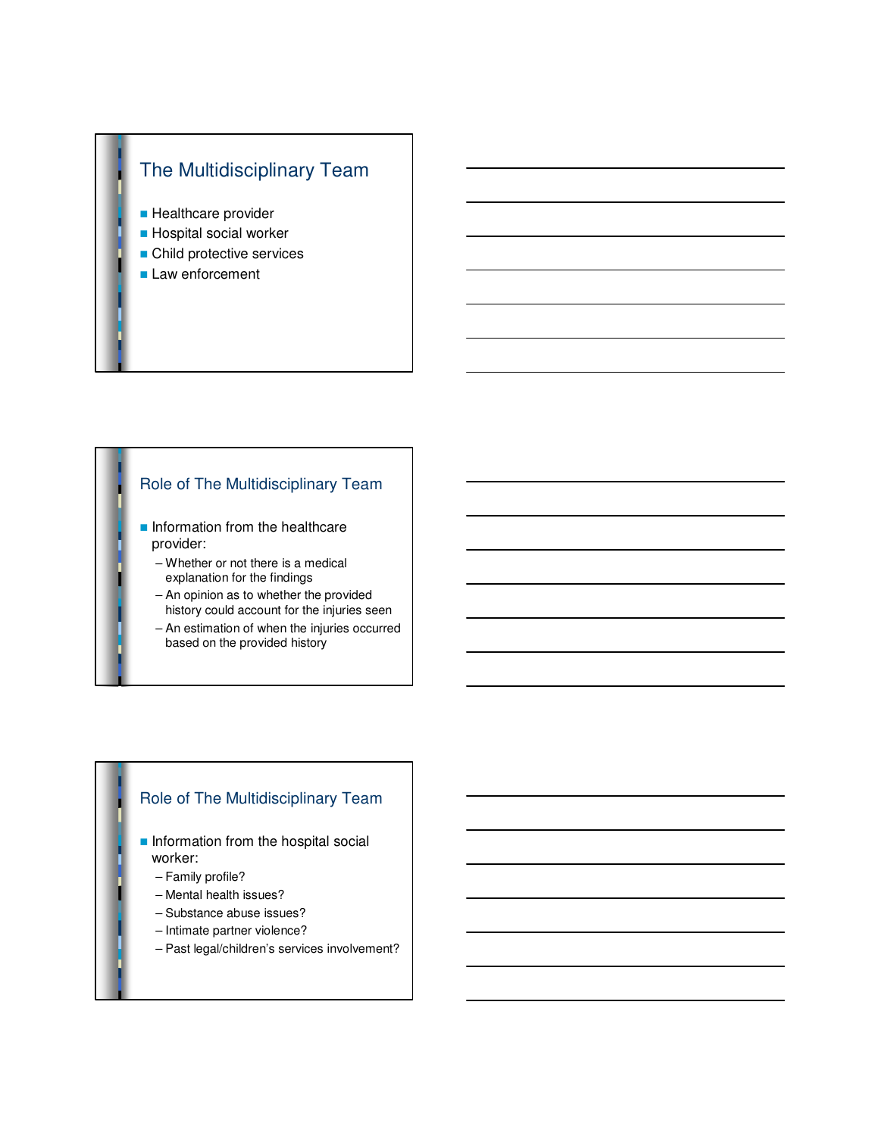

- **Healthcare provider**
- **n** Hospital social worker
- **n** Child protective services
- **Law enforcement**

#### Role of The Multidisciplinary Team

- $\blacksquare$  Information from the healthcare provider:
	- Whether or not there is a medical explanation for the findings
	- An opinion as to whether the provided history could account for the injuries seen
	- An estimation of when the injuries occurred based on the provided history

#### Role of The Multidisciplinary Team

- $\blacksquare$  Information from the hospital social worker:
	- Family profile?
	- Mental health issues?
	- Substance abuse issues?
	- Intimate partner violence?
	- Past legal/children's services involvement?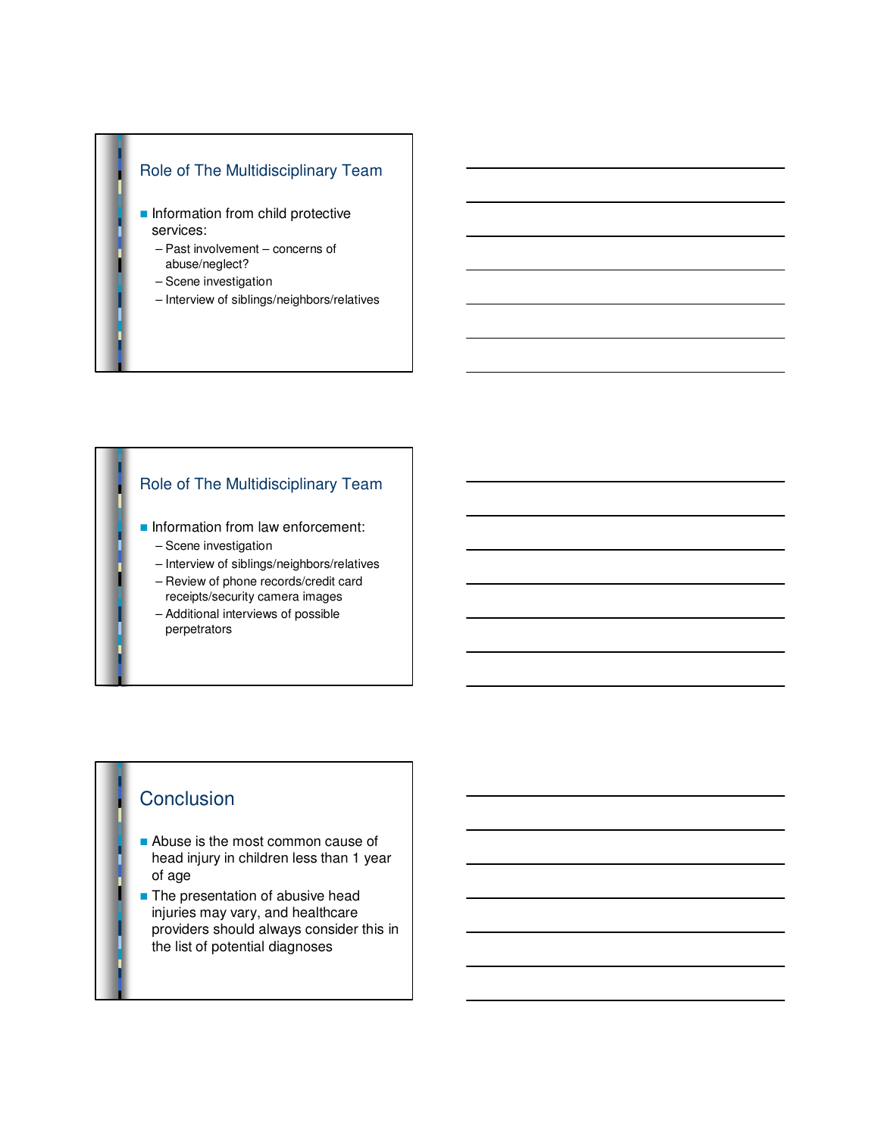#### Role of The Multidisciplinary Team

- **n** Information from child protective services:
	- Past involvement concerns of abuse/neglect?
	- Scene investigation
	- Interview of siblings/neighbors/relatives

#### Role of The Multidisciplinary Team

- **n** Information from law enforcement:
	- Scene investigation
	- Interview of siblings/neighbors/relatives
	- Review of phone records/credit card receipts/security camera images
	- Additional interviews of possible perpetrators

# **Conclusion**

- $\blacksquare$  Abuse is the most common cause of head injury in children less than 1 year of age
- $\blacksquare$  The presentation of abusive head injuries may vary, and healthcare providers should always consider this in the list of potential diagnoses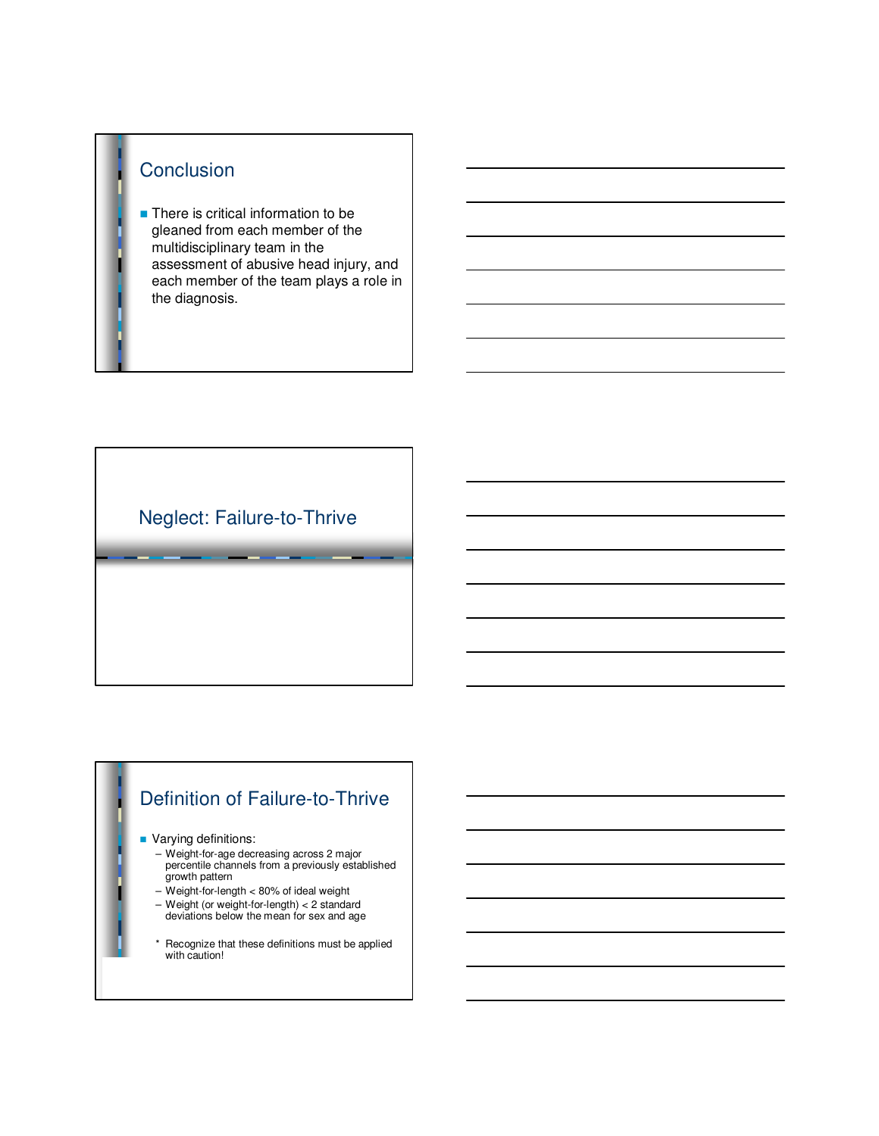# **Conclusion**

 $\blacksquare$  There is critical information to be gleaned from each member of the multidisciplinary team in the assessment of abusive head injury, and each member of the team plays a role in the diagnosis.

# Neglect: Failure-to-Thrive

# Definition of Failure-to-Thrive

#### **Narying definitions:**

- Weight-for-age decreasing across 2 major percentile channels from a previously established growth pattern
- Weight-for-length < 80% of ideal weight
- Weight (or weight-for-length) < 2 standard deviations below the mean for sex and age
- \* Recognize that these definitions must be applied with caution!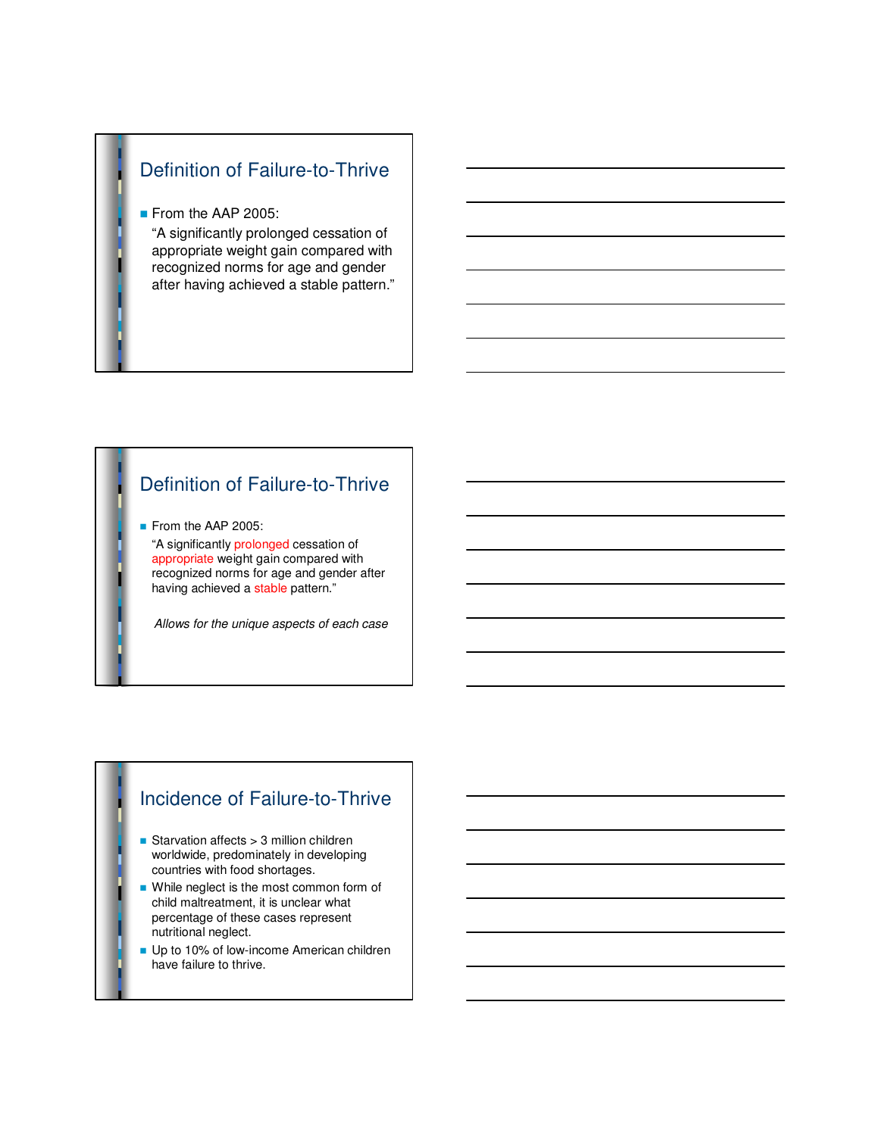# Definition of Failure-to-Thrive

#### From the AAP 2005:

"A significantly prolonged cessation of appropriate weight gain compared with recognized norms for age and gender after having achieved a stable pattern."

# Definition of Failure-to-Thrive

From the AAP 2005:

"A significantly prolonged cessation of appropriate weight gain compared with recognized norms for age and gender after having achieved a stable pattern."

Allows for the unique aspects of each case

#### Incidence of Failure-to-Thrive

- Starvation affects  $> 3$  million children worldwide, predominately in developing countries with food shortages.
- While neglect is the most common form of child maltreatment, it is unclear what percentage of these cases represent nutritional neglect.
- Up to 10% of low-income American children have failure to thrive.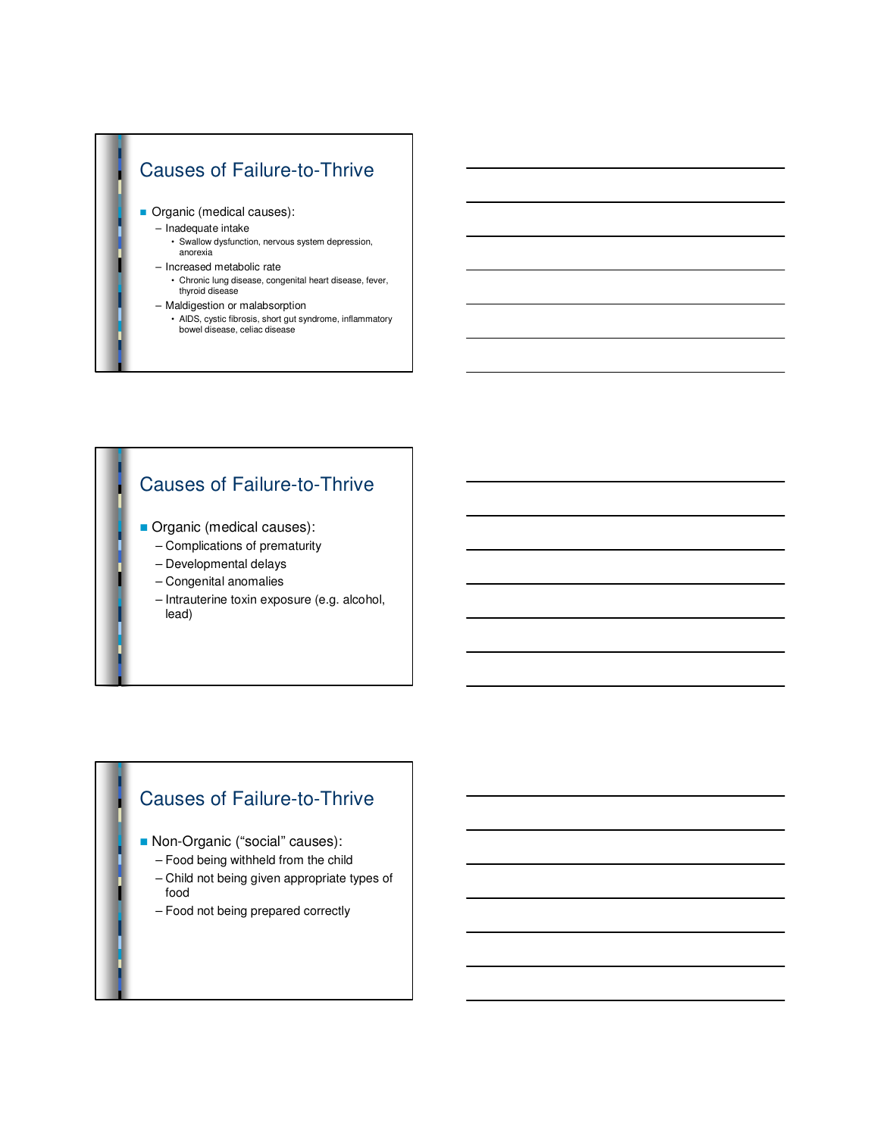# Causes of Failure-to-Thrive

- **n** Organic (medical causes):
	- Inadequate intake
		- Swallow dysfunction, nervous system depression, anorexia
	- Increased metabolic rate
		- Chronic lung disease, congenital heart disease, fever, thyroid disease
	- Maldigestion or malabsorption
		- AIDS, cystic fibrosis, short gut syndrome, inflammatory bowel disease, celiac disease

## Causes of Failure-to-Thrive

- **n** Organic (medical causes):
	- Complications of prematurity
	- Developmental delays
	- Congenital anomalies
	- Intrauterine toxin exposure (e.g. alcohol, lead)

## Causes of Failure-to-Thrive

- **Non-Organic ("social" causes):** 
	- Food being withheld from the child
	- Child not being given appropriate types of food
	- Food not being prepared correctly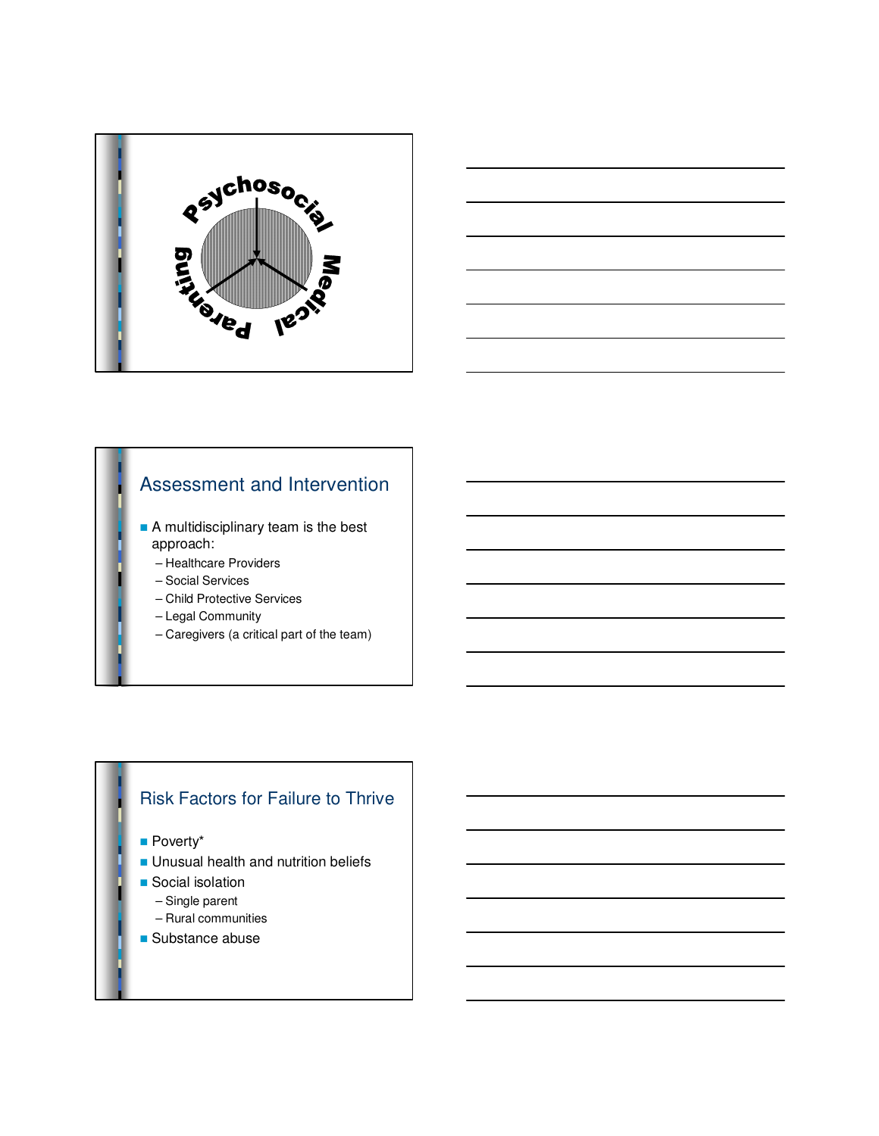



## Assessment and Intervention

- **A** multidisciplinary team is the best approach:
	- Healthcare Providers
	- Social Services
	- Child Protective Services
	- Legal Community
	- Caregivers (a critical part of the team)

#### Risk Factors for Failure to Thrive

**n** Poverty\*

- **n** Unusual health and nutrition beliefs
- **n** Social isolation
	- Single parent
- Rural communities
- $\blacksquare$  Substance abuse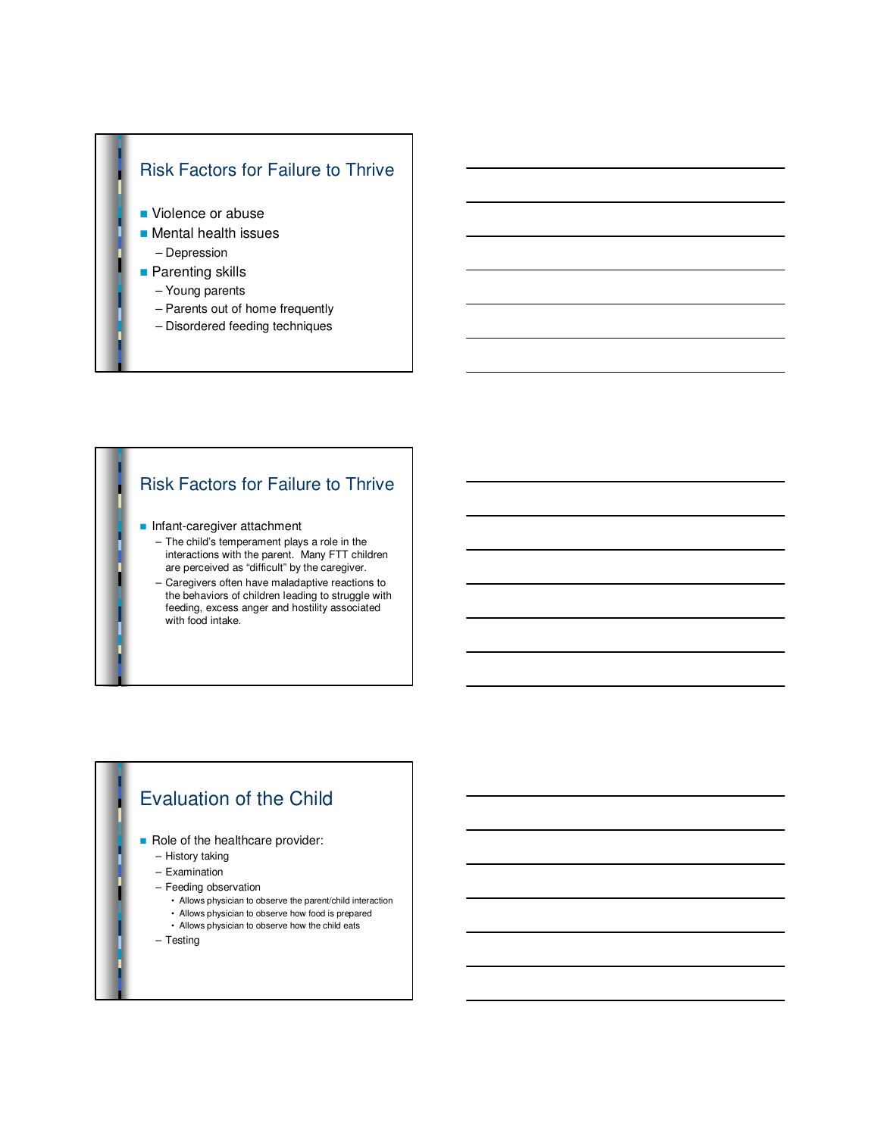#### Risk Factors for Failure to Thrive

- Violence or abuse
- $\blacksquare$  Mental health issues
	- Depression
- $\blacksquare$  Parenting skills
	- Young parents
	- Parents out of home frequently
	- Disordered feeding techniques

#### Risk Factors for Failure to Thrive

- **n** Infant-caregiver attachment
	- The child's temperament plays a role in the interactions with the parent. Many FTT children are perceived as "difficult" by the caregiver.
	- Caregivers often have maladaptive reactions to the behaviors of children leading to struggle with feeding, excess anger and hostility associated with food intake.

## Evaluation of the Child

- Role of the healthcare provider:
	- History taking
	- Examination
	- Feeding observation
		- Allows physician to observe the parent/child interaction
		- Allows physician to observe how food is prepared
		- Allows physician to observe how the child eats
	- Testing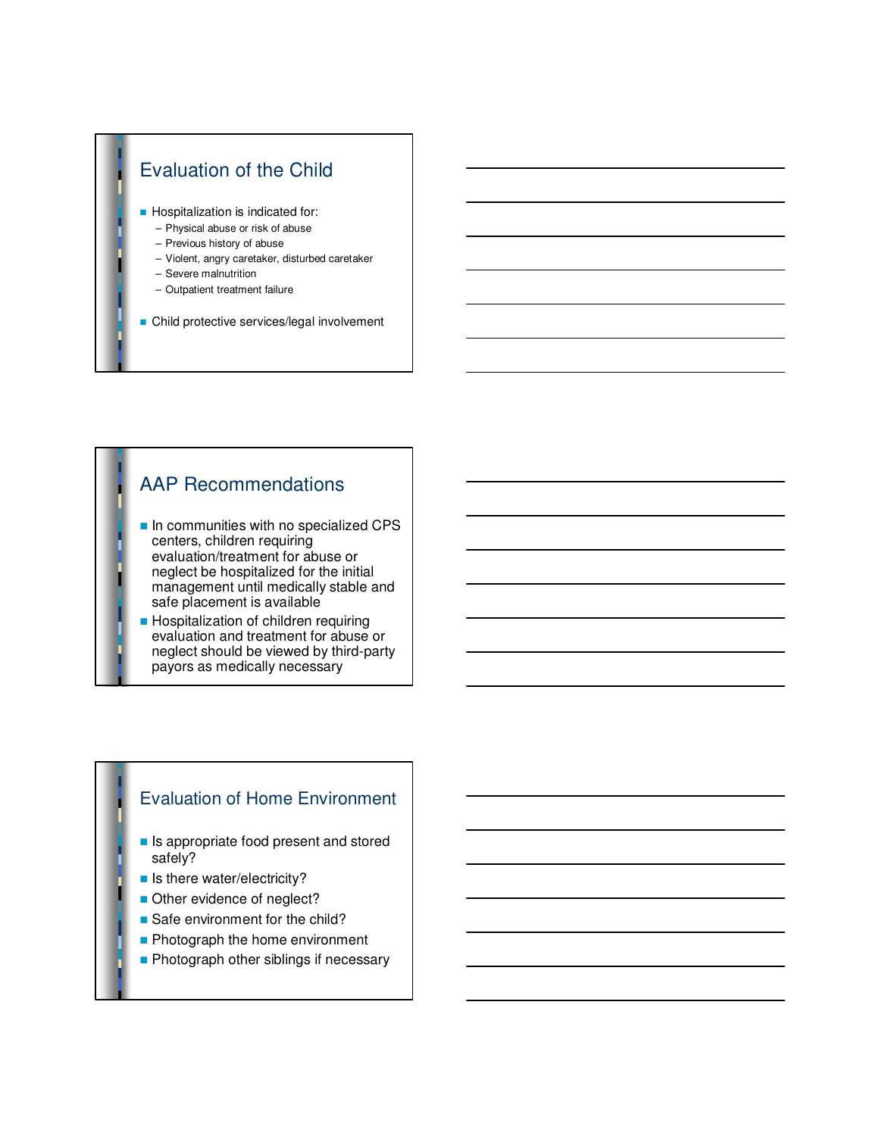

# AAP Recommendations

- $\blacksquare$  In communities with no specialized CPS centers, children requiring evaluation/treatment for abuse or neglect be hospitalized for the initial management until medically stable and safe placement is available
- **Hospitalization of children requiring** evaluation and treatment for abuse or neglect should be viewed by third-party payors as medically necessary

#### Evaluation of Home Environment

- **n** Is appropriate food present and stored safely?
- **n** Is there water/electricity?
- Other evidence of neglect?
- $\blacksquare$  Safe environment for the child?
- Photograph the home environment
- **Photograph other siblings if necessary**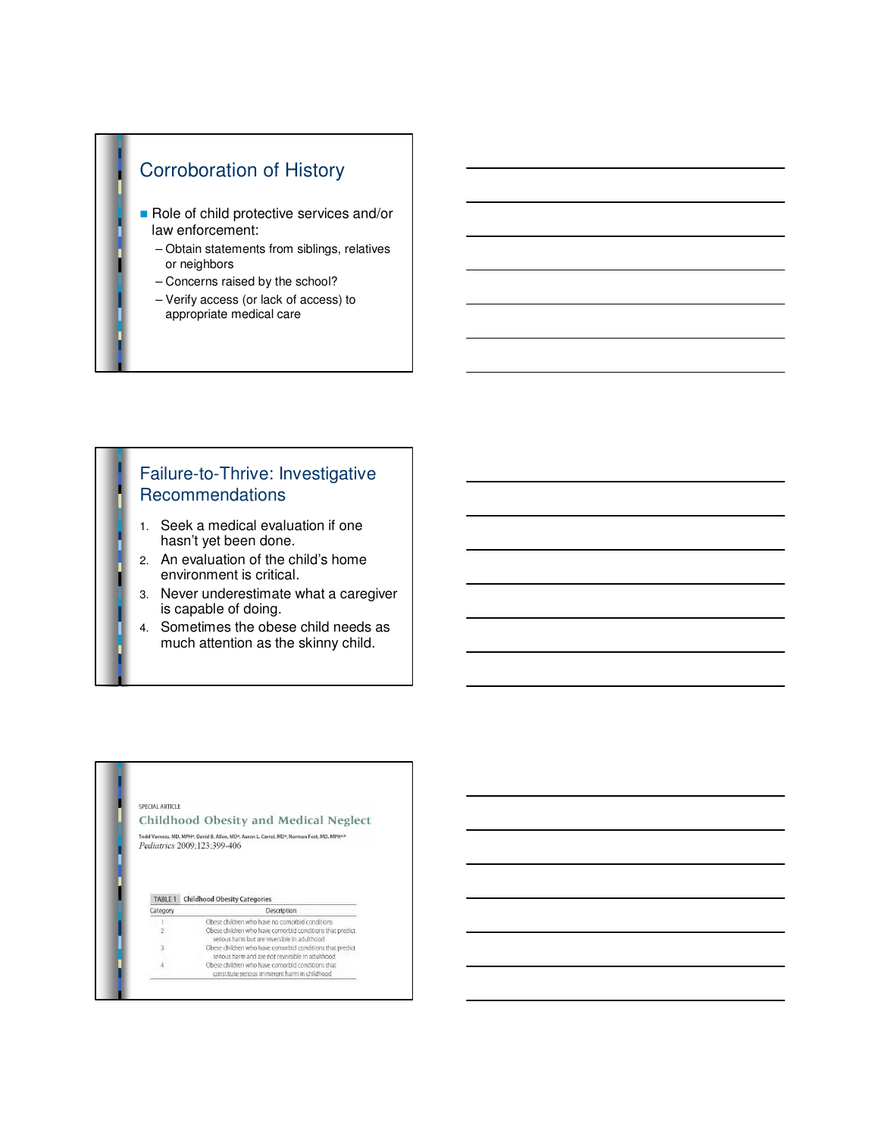# Corroboration of History

- Role of child protective services and/or law enforcement:
	- Obtain statements from siblings, relatives or neighbors
	- Concerns raised by the school?
	- Verify access (or lack of access) to appropriate medical care

#### Failure-to-Thrive: Investigative **Recommendations**

- 1. Seek a medical evaluation if one hasn't yet been done.
- 2. An evaluation of the child's home environment is critical.
- 3. Never underestimate what a caregiver is capable of doing.
- 4. Sometimes the obese child needs as much attention as the skinny child.

#### SPECIAL ARTICLE

#### Childhood Obesity and Medical Neglect

Todd Varness, MD, MPH<sup>3</sup>, David B. Allen, MD<sup>3</sup>, Aaron L. Carrel, MD<sup>3</sup>, Norman Fost, MD, MPH<sup>3,b</sup><br> $Pediatrics 2009;123;399-406$ 

TABLE 1 Childhood Obesity Categories Description

| Category                             | Description                                                                                                   |
|--------------------------------------|---------------------------------------------------------------------------------------------------------------|
|                                      | Obese children who have no comorbid conditions                                                                |
|                                      | Obese children who have comorbid conditions that predict<br>serious harm but are reversible in adulthood      |
| $\overline{\overline{\overline{3}}}$ | Obese children who have comorbid conditions that predict.<br>serious harm and are not reversible in adulthood |
|                                      | Obese children who have comorbid conditions that<br>constitute serious imminent harm in childhood             |
|                                      |                                                                                                               |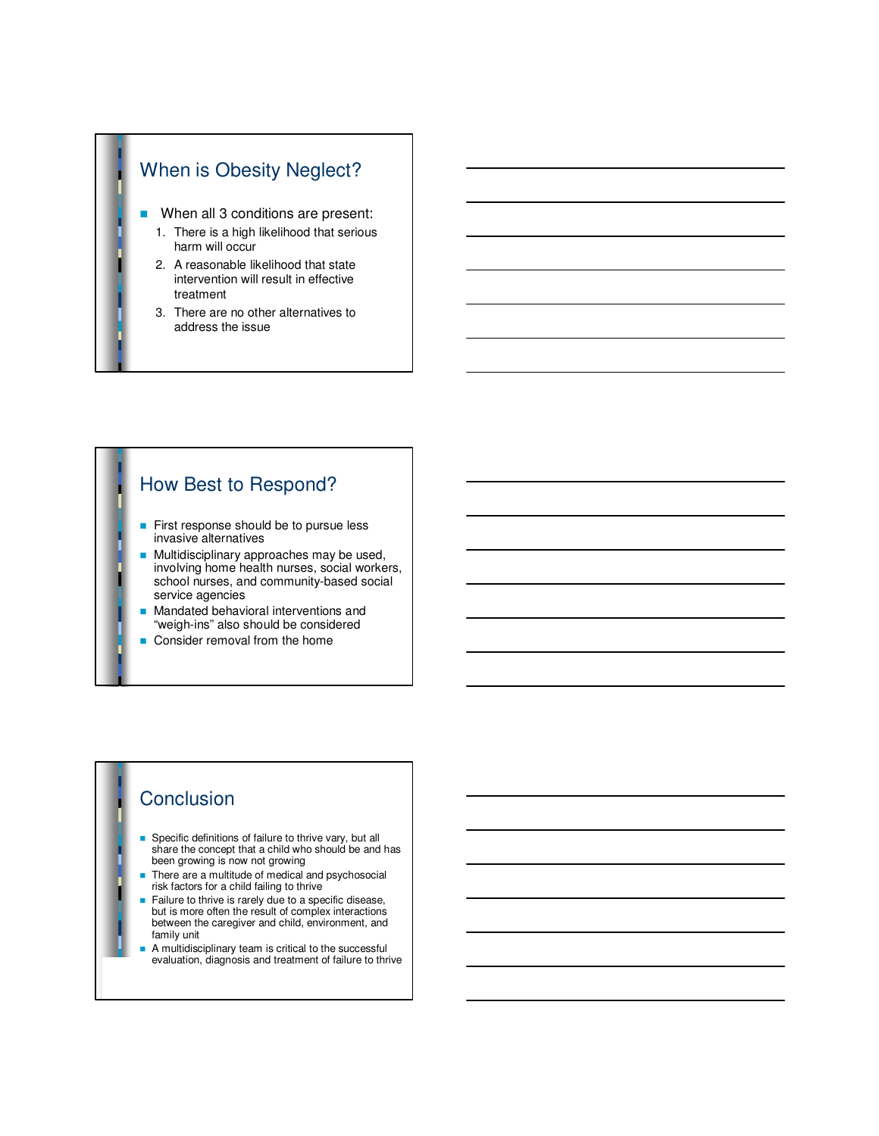- When all 3 conditions are present:
	- 1. There is a high likelihood that serious harm will occur
	- 2. A reasonable likelihood that state intervention will result in effective treatment
	- 3. There are no other alternatives to address the issue

#### How Best to Respond?

- First response should be to pursue less invasive alternatives
- Multidisciplinary approaches may be used, involving home health nurses, social workers, school nurses, and community-based social service agencies
- Mandated behavioral interventions and "weigh-ins" also should be considered
- Consider removal from the home

# **Conclusion**

- Specific definitions of failure to thrive vary, but all share the concept that a child who should be and has been growing is now not growing
- There are a multitude of medical and psychosocial risk factors for a child failing to thrive
- Failure to thrive is rarely due to a specific disease, but is more often the result of complex interactions between the caregiver and child, environment, and family unit
- A multidisciplinary team is critical to the successful evaluation, diagnosis and treatment of failure to thrive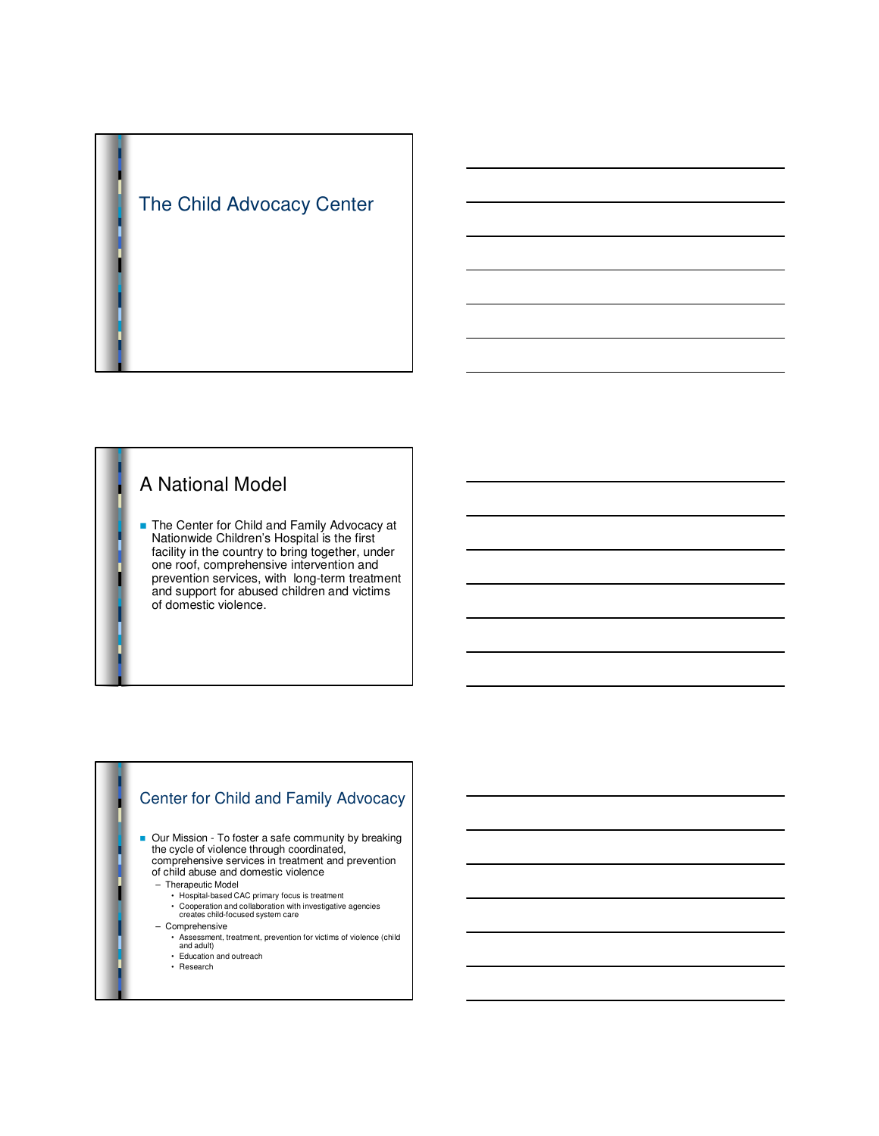

# A National Model

■ The Center for Child and Family Advocacy at Nationwide Children's Hospital is the first facility in the country to bring together, under one roof, comprehensive intervention and prevention services, with long-term treatment and support for abused children and victims of domestic violence.

#### Center for Child and Family Advocacy

■ Our Mission - To foster a safe community by breaking the cycle of violence through coordinated, comprehensive services in treatment and prevention of child abuse and domestic violence

- Therapeutic Model
	- Hospital-based CAC primary focus is treatment
	- Cooperation and collaboration with investigative agencies creates child-focused system care
- Comprehensive
	- Assessment, treatment, prevention for victims of violence (child and adult) Education and outreach
	-
	- Research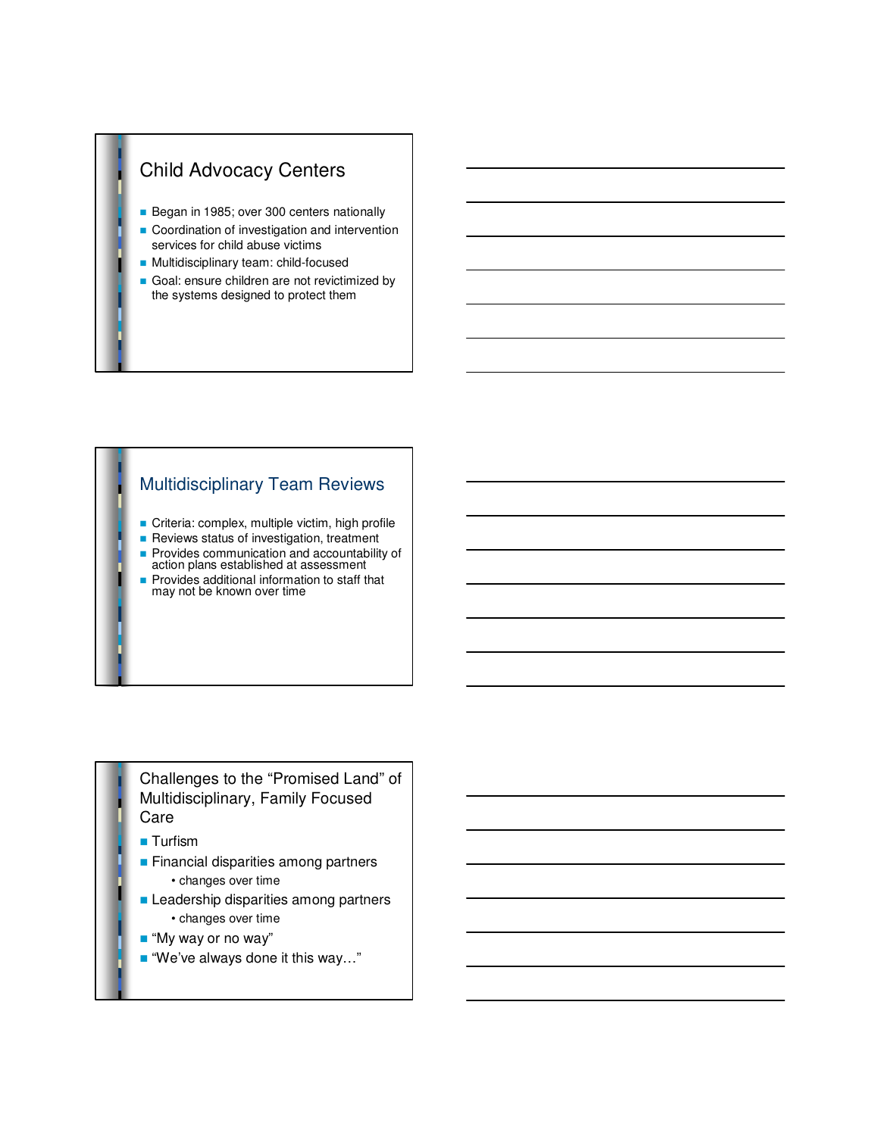# Child Advocacy Centers

- Began in 1985; over 300 centers nationally
- Coordination of investigation and intervention services for child abuse victims
- Multidisciplinary team: child-focused
- Goal: ensure children are not revictimized by the systems designed to protect them

#### Multidisciplinary Team Reviews

- **n** Criteria: complex, multiple victim, high profile
- **n** Reviews status of investigation, treatment **Provides communication and accountability of** action plans established at assessment
- **Provides additional information to staff that** may not be known over time

#### Challenges to the "Promised Land" of Multidisciplinary, Family Focused Care

- **n** Turfism
- **n** Financial disparities among partners • changes over time
- **E** Leadership disparities among partners • changes over time
- "My way or no way"
- $\blacksquare$  "We've always done it this way..."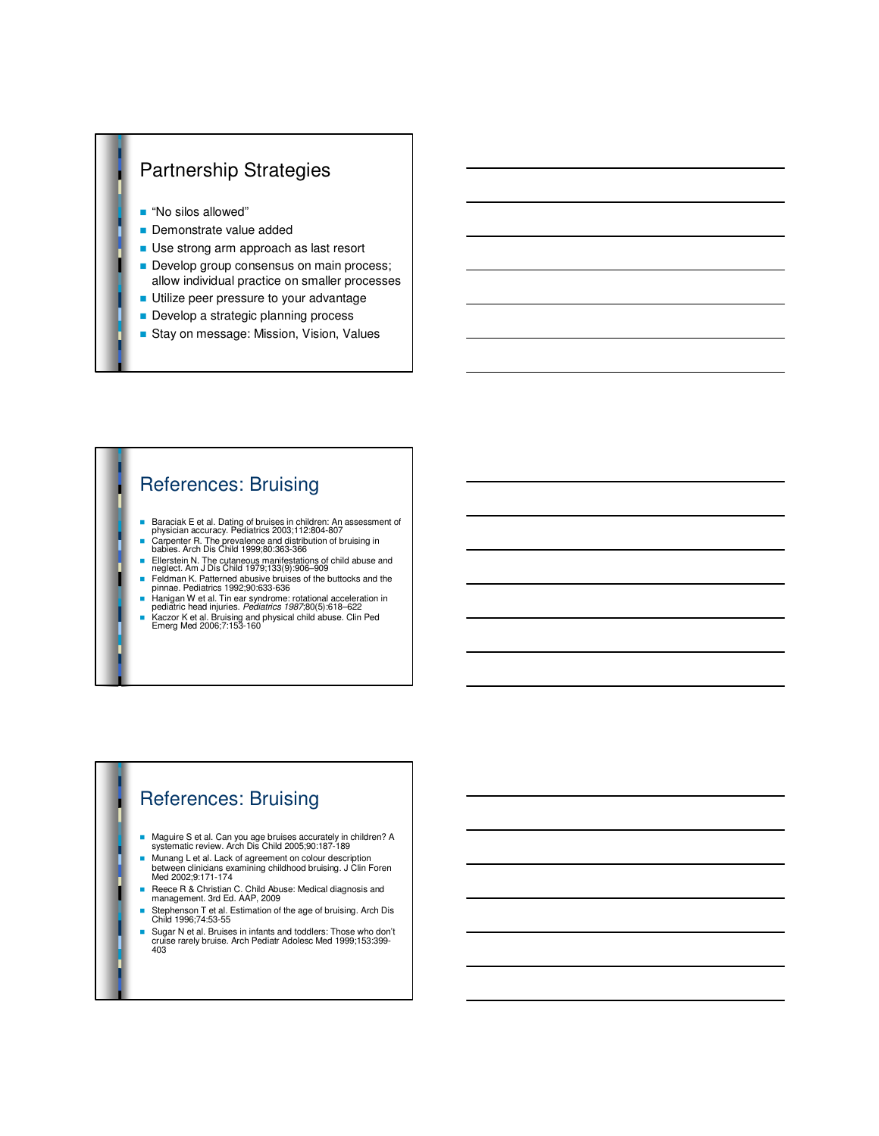# Partnership Strategies

- "No silos allowed"
- **Demonstrate value added**
- **De strong arm approach as last resort**
- Develop group consensus on main process; allow individual practice on smaller processes
- **Utilize peer pressure to your advantage**
- Develop a strategic planning process
- Stay on message: Mission, Vision, Values

## References: Bruising

- n Baraciak E et al. Dating of bruises in children: An assessment of physician accuracy. Pediatrics 2003;112:804-807
- n Carpenter R. The prevalence and distribution of bruising in babies. Arch Dis Child 1999;80:363-366
- Ellerstein N. The cutaneous manifestations of child abuse and neglect. Am J Dis Child 1979;133(9):906–909
- Feldman K. Patterned abusive bruises of the buttocks and the pinnae. Pediatrics 1992;90:633-636
- Hanigan W et al. Tin ear syndrome: rotational acceleration in<br>pediatric head injuries. Pediatrics 1987;80(5):618–622
- Kaczor K et al. Bruising and physical child abuse. Clin Ped<br>Emerg Med 2006;7:153-160

## References: Bruising

- n Maguire S et al. Can you age bruises accurately in children? A systematic review. Arch Dis Child 2005;90:187-189
- n Munang L et al. Lack of agreement on colour description between clinicians examining childhood bruising. J Clin Foren Med 2002;9:171-174
- Reece R & Christian C. Child Abuse: Medical diagnosis and management. 3rd Ed. AAP, 2009
- Stephenson T et al. Estimation of the age of bruising. Arch Dis Child 1996;74:53-55
- Sugar N et al. Bruises in infants and toddlers: Those who don't cruise rarely bruise. Arch Pediatr Adolesc Med 1999;153:399- 403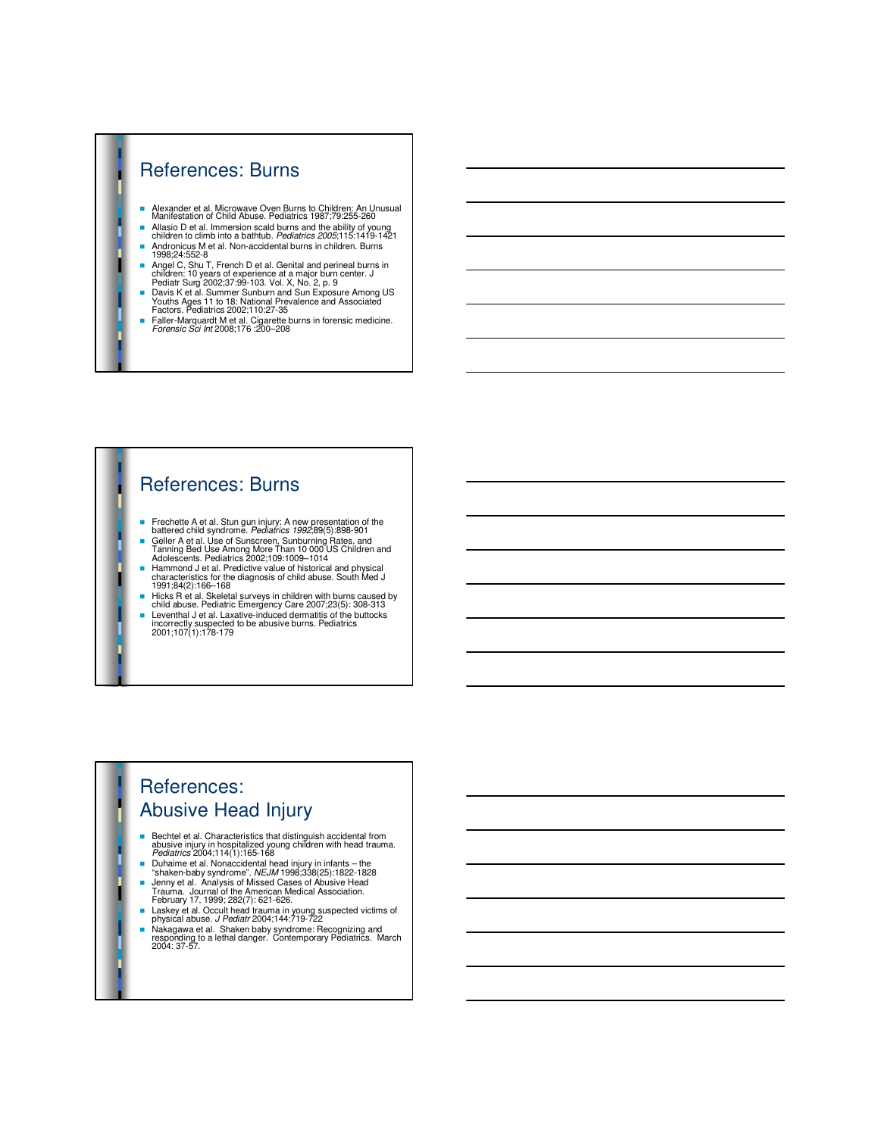#### References: Burns

- n Alexander et al. Microwave Oven Burns to Children: An Unusual Manifestation of Child Abuse. Pediatrics 1987;79:255-260
- In Allasio D et al. Immersion scald burns and the ability of young<br>children to climb into a bathtub. Pediatrics 2005;115:1419-1421
- Andronicus M et al. Non-accidental burns in children. Burns<br>1998;24:552-8
- n Angel C, Shu T, French D et al. Genital and perineal burns in
- children: 10 years of experience at a major burn center. J<br>Pediatr Surg 2002;37:99-103. Vol. X, No. 2, p. 9<br>■ Davis K et al. Summer Sunburn and Sun Exposure Among US<br>Youths Ages 11 to 18: National Prevalence and Associate
- Faller-Marquardt M et al. Cigarette burns in forensic medicine.<br>Forensic Sci Int 2008;176 :200–208

#### References: Burns

- Frechette A et al. Stun gun injury: A new presentation of the battered child syndrome. Pediatrics 1992;89(5):898-901
- 
- Geller A et al. Use of Sunscreen, Sunburning Rate and Tanning Bed Use Among More Than 10 000 US Children and<br>Adolescents. Pediatrics 2002;109:1009–1014<br>■ Hammond J et al. Predictive value of historical and physical<br>char
- 
- 
- 1991;84(2):166-168<br>
Elicks R et al. Skeletal surveys in children with burns caused by<br>
child abuse. Pediatric Emergency Care 2007;23(5): 308-313<br>
Leventhal J et al. Laxative-induced dermatitis of the buttocks<br>
incorrectly

#### References: Abusive Head Injury

- Bechtel et al. Characteristics that distinguish accidental from<br>abusive injury in hospitalized young children with head trauma.<br>Pediatrics 2004;114(1):165-168
- 
- 
- 
- Duhaime et al. Nonaccidental head injury in infants the<br>
"shaken-baby syndrome". *NEJM* 1998;338(25):1822-1828<br>
 Jenny et al. Analysis of Missed Cases of Abusive Head<br>
Trauma. Journal of the American Medical Associat